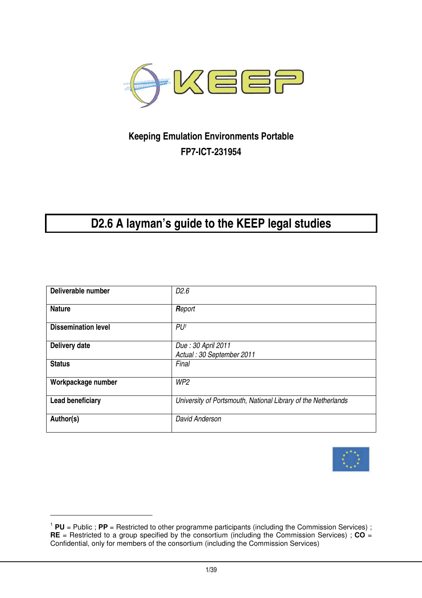

# **Keeping Emulation Environments Portable FP7-ICT-231954**

# **D2.6 A layman's guide to the KEEP legal studies**

| Deliverable number         | D <sub>2.6</sub>                                              |
|----------------------------|---------------------------------------------------------------|
|                            |                                                               |
| <b>Nature</b>              | Report                                                        |
|                            |                                                               |
| <b>Dissemination level</b> | PU <sup>t</sup>                                               |
|                            |                                                               |
| Delivery date              | Due: 30 April 2011                                            |
|                            | Actual: 30 September 2011                                     |
| <b>Status</b>              | Final                                                         |
|                            |                                                               |
| Workpackage number         | WP <sub>2</sub>                                               |
|                            |                                                               |
| <b>Lead beneficiary</b>    | University of Portsmouth, National Library of the Netherlands |
|                            |                                                               |
| Author(s)                  | David Anderson                                                |
|                            |                                                               |



 $\overline{a}$ 

 $1$  **PU** = Public ; **PP** = Restricted to other programme participants (including the Commission Services) ; **RE** = Restricted to a group specified by the consortium (including the Commission Services);  $CO =$ Confidential, only for members of the consortium (including the Commission Services)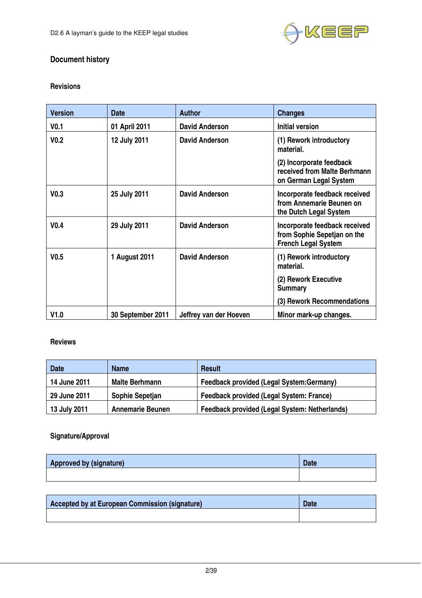

## **Document history**

### **Revisions**

| <b>Version</b>   | <b>Date</b>       | <b>Author</b>          | <b>Changes</b>                                                                             |
|------------------|-------------------|------------------------|--------------------------------------------------------------------------------------------|
| V <sub>0.1</sub> | 01 April 2011     | <b>David Anderson</b>  | <b>Initial version</b>                                                                     |
| V <sub>0.2</sub> | 12 July 2011      | <b>David Anderson</b>  | (1) Rework introductory<br>material.                                                       |
|                  |                   |                        | (2) Incorporate feedback<br>received from Malte Berhmann<br>on German Legal System         |
| V <sub>0.3</sub> | 25 July 2011      | <b>David Anderson</b>  | Incorporate feedback received<br>from Annemarie Beunen on<br>the Dutch Legal System        |
| V <sub>0.4</sub> | 29 July 2011      | <b>David Anderson</b>  | Incorporate feedback received<br>from Sophie Sepetjan on the<br><b>French Legal System</b> |
| V <sub>0.5</sub> | 1 August 2011     | <b>David Anderson</b>  | (1) Rework introductory<br>material.                                                       |
|                  |                   |                        | (2) Rework Executive<br><b>Summary</b>                                                     |
|                  |                   |                        | (3) Rework Recommendations                                                                 |
| V1.0             | 30 September 2011 | Jeffrey van der Hoeven | Minor mark-up changes.                                                                     |

#### **Reviews**

| <b>Date</b>    | <b>Name</b>             | Result                                               |
|----------------|-------------------------|------------------------------------------------------|
| ∣ 14 June 2011 | <b>Malte Berhmann</b>   | <b>Feedback provided (Legal System:Germany)</b>      |
| 29 June 2011   | <b>Sophie Sepetjan</b>  | <b>Feedback provided (Legal System: France)</b>      |
| 13 July 2011   | <b>Annemarie Beunen</b> | <b>Feedback provided (Legal System: Netherlands)</b> |

### **Signature/Approval**

| <b>Approved by (signature)</b> | <b>Date</b> |
|--------------------------------|-------------|
|                                |             |

| Accepted by at European Commission (signature) | <b>Date</b> |
|------------------------------------------------|-------------|
|                                                |             |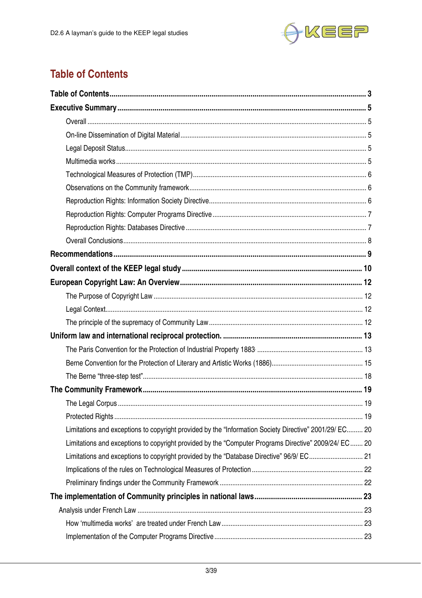

# **Table of Contents**

|                                                                                                        | 19 |
|--------------------------------------------------------------------------------------------------------|----|
|                                                                                                        |    |
| Limitations and exceptions to copyright provided by the "Information Society Directive" 2001/29/ EC 20 |    |
| Limitations and exceptions to copyright provided by the "Computer Programs Directive" 2009/24/ EC 20   |    |
|                                                                                                        |    |
|                                                                                                        |    |
|                                                                                                        |    |
|                                                                                                        |    |
|                                                                                                        |    |
|                                                                                                        |    |
|                                                                                                        |    |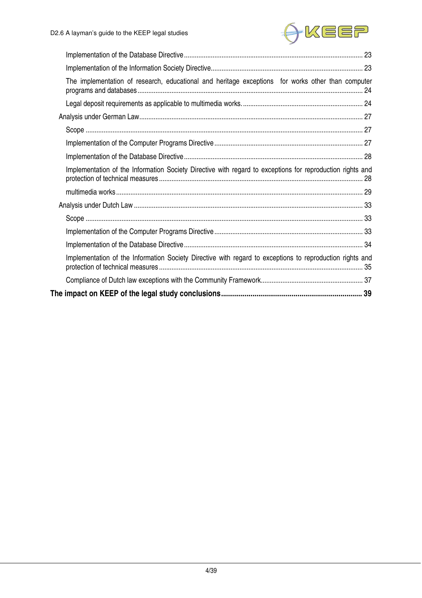

| The implementation of research, educational and heritage exceptions for works other than computer         |
|-----------------------------------------------------------------------------------------------------------|
|                                                                                                           |
|                                                                                                           |
|                                                                                                           |
|                                                                                                           |
|                                                                                                           |
| Implementation of the Information Society Directive with regard to exceptions for reproduction rights and |
|                                                                                                           |
|                                                                                                           |
|                                                                                                           |
|                                                                                                           |
|                                                                                                           |
| Implementation of the Information Society Directive with regard to exceptions to reproduction rights and  |
|                                                                                                           |
|                                                                                                           |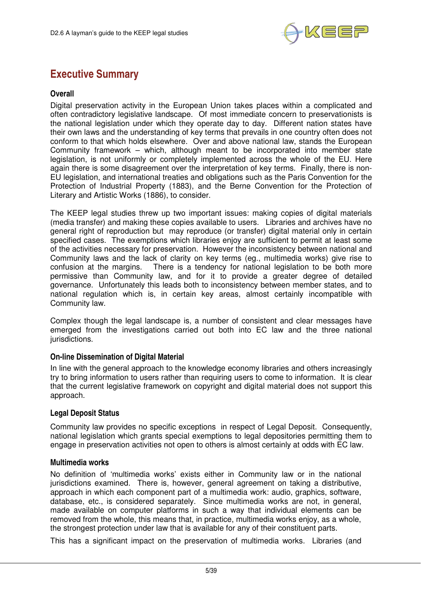

# **Executive Summary**

#### **Overall**

Digital preservation activity in the European Union takes places within a complicated and often contradictory legislative landscape. Of most immediate concern to preservationists is the national legislation under which they operate day to day. Different nation states have their own laws and the understanding of key terms that prevails in one country often does not conform to that which holds elsewhere. Over and above national law, stands the European Community framework – which, although meant to be incorporated into member state legislation, is not uniformly or completely implemented across the whole of the EU. Here again there is some disagreement over the interpretation of key terms. Finally, there is non-EU legislation, and international treaties and obligations such as the Paris Convention for the Protection of Industrial Property (1883), and the Berne Convention for the Protection of Literary and Artistic Works (1886), to consider.

The KEEP legal studies threw up two important issues: making copies of digital materials (media transfer) and making these copies available to users. Libraries and archives have no general right of reproduction but may reproduce (or transfer) digital material only in certain specified cases. The exemptions which libraries enjoy are sufficient to permit at least some of the activities necessary for preservation. However the inconsistency between national and Community laws and the lack of clarity on key terms (eg., multimedia works) give rise to confusion at the margins. There is a tendency for national legislation to be both more permissive than Community law, and for it to provide a greater degree of detailed governance. Unfortunately this leads both to inconsistency between member states, and to national regulation which is, in certain key areas, almost certainly incompatible with Community law.

Complex though the legal landscape is, a number of consistent and clear messages have emerged from the investigations carried out both into EC law and the three national jurisdictions.

#### **On-line Dissemination of Digital Material**

In line with the general approach to the knowledge economy libraries and others increasingly try to bring information to users rather than requiring users to come to information. It is clear that the current legislative framework on copyright and digital material does not support this approach.

#### **Legal Deposit Status**

Community law provides no specific exceptions in respect of Legal Deposit. Consequently, national legislation which grants special exemptions to legal depositories permitting them to engage in preservation activities not open to others is almost certainly at odds with EC law.

#### **Multimedia works**

No definition of 'multimedia works' exists either in Community law or in the national jurisdictions examined. There is, however, general agreement on taking a distributive, approach in which each component part of a multimedia work: audio, graphics, software, database, etc., is considered separately. Since multimedia works are not, in general, made available on computer platforms in such a way that individual elements can be removed from the whole, this means that, in practice, multimedia works enjoy, as a whole, the strongest protection under law that is available for any of their constituent parts.

This has a significant impact on the preservation of multimedia works. Libraries (and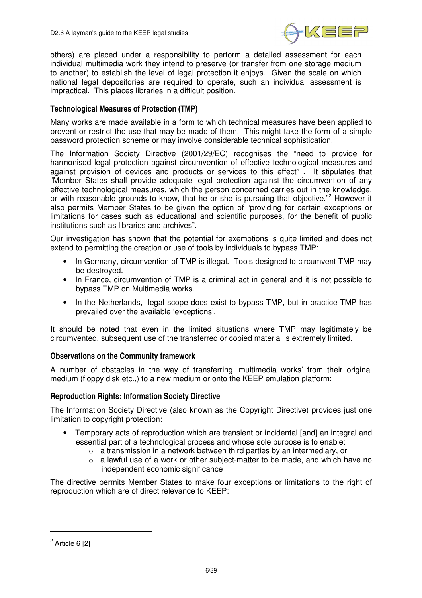

others) are placed under a responsibility to perform a detailed assessment for each individual multimedia work they intend to preserve (or transfer from one storage medium to another) to establish the level of legal protection it enjoys. Given the scale on which national legal depositories are required to operate, such an individual assessment is impractical. This places libraries in a difficult position.

#### **Technological Measures of Protection (TMP)**

Many works are made available in a form to which technical measures have been applied to prevent or restrict the use that may be made of them. This might take the form of a simple password protection scheme or may involve considerable technical sophistication.

The Information Society Directive (2001/29/EC) recognises the "need to provide for harmonised legal protection against circumvention of effective technological measures and against provision of devices and products or services to this effect" . It stipulates that "Member States shall provide adequate legal protection against the circumvention of any effective technological measures, which the person concerned carries out in the knowledge, or with reasonable grounds to know, that he or she is pursuing that objective."<sup>2</sup> However it also permits Member States to be given the option of "providing for certain exceptions or limitations for cases such as educational and scientific purposes, for the benefit of public institutions such as libraries and archives".

Our investigation has shown that the potential for exemptions is quite limited and does not extend to permitting the creation or use of tools by individuals to bypass TMP:

- In Germany, circumvention of TMP is illegal. Tools designed to circumvent TMP may be destroyed.
- In France, circumvention of TMP is a criminal act in general and it is not possible to bypass TMP on Multimedia works.
- In the Netherlands, legal scope does exist to bypass TMP, but in practice TMP has prevailed over the available 'exceptions'.

It should be noted that even in the limited situations where TMP may legitimately be circumvented, subsequent use of the transferred or copied material is extremely limited.

#### **Observations on the Community framework**

A number of obstacles in the way of transferring 'multimedia works' from their original medium (floppy disk etc.,) to a new medium or onto the KEEP emulation platform:

#### **Reproduction Rights: Information Society Directive**

The Information Society Directive (also known as the Copyright Directive) provides just one limitation to copyright protection:

- Temporary acts of reproduction which are transient or incidental [and] an integral and essential part of a technological process and whose sole purpose is to enable:
	- $\circ$  a transmission in a network between third parties by an intermediary, or
	- $\circ$  a lawful use of a work or other subject-matter to be made, and which have no independent economic significance

The directive permits Member States to make four exceptions or limitations to the right of reproduction which are of direct relevance to KEEP:

 $\overline{a}$ 

 $2$  Article 6 [2]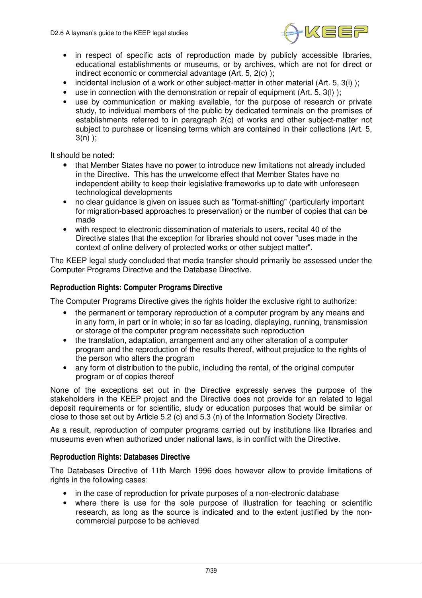

- in respect of specific acts of reproduction made by publicly accessible libraries, educational establishments or museums, or by archives, which are not for direct or indirect economic or commercial advantage (Art. 5, 2(c) );
- incidental inclusion of a work or other subject-matter in other material (Art. 5, 3(i));
- use in connection with the demonstration or repair of equipment (Art.  $5, 3(1)$ );
- use by communication or making available, for the purpose of research or private study, to individual members of the public by dedicated terminals on the premises of establishments referred to in paragraph 2(c) of works and other subject-matter not subject to purchase or licensing terms which are contained in their collections (Art. 5, 3(n) );

It should be noted:

- that Member States have no power to introduce new limitations not already included in the Directive. This has the unwelcome effect that Member States have no independent ability to keep their legislative frameworks up to date with unforeseen technological developments
- no clear guidance is given on issues such as "format-shifting" (particularly important for migration-based approaches to preservation) or the number of copies that can be made
- with respect to electronic dissemination of materials to users, recital 40 of the Directive states that the exception for libraries should not cover "uses made in the context of online delivery of protected works or other subject matter".

The KEEP legal study concluded that media transfer should primarily be assessed under the Computer Programs Directive and the Database Directive.

#### **Reproduction Rights: Computer Programs Directive**

The Computer Programs Directive gives the rights holder the exclusive right to authorize:

- the permanent or temporary reproduction of a computer program by any means and in any form, in part or in whole; in so far as loading, displaying, running, transmission or storage of the computer program necessitate such reproduction
- the translation, adaptation, arrangement and any other alteration of a computer program and the reproduction of the results thereof, without prejudice to the rights of the person who alters the program
- any form of distribution to the public, including the rental, of the original computer program or of copies thereof

None of the exceptions set out in the Directive expressly serves the purpose of the stakeholders in the KEEP project and the Directive does not provide for an related to legal deposit requirements or for scientific, study or education purposes that would be similar or close to those set out by Article 5.2 (c) and 5.3 (n) of the Information Society Directive.

As a result, reproduction of computer programs carried out by institutions like libraries and museums even when authorized under national laws, is in conflict with the Directive.

#### **Reproduction Rights: Databases Directive**

The Databases Directive of 11th March 1996 does however allow to provide limitations of rights in the following cases:

- in the case of reproduction for private purposes of a non-electronic database
- where there is use for the sole purpose of illustration for teaching or scientific research, as long as the source is indicated and to the extent justified by the noncommercial purpose to be achieved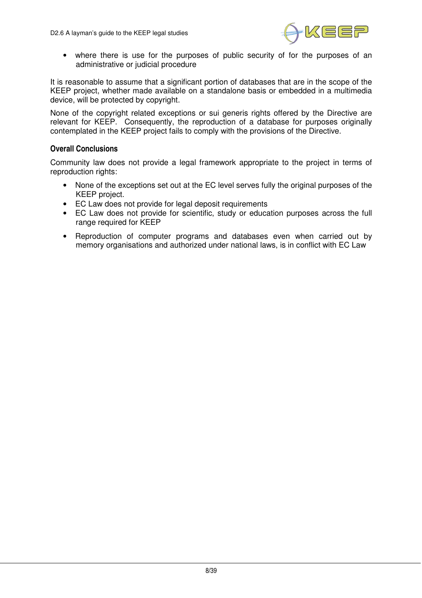

• where there is use for the purposes of public security of for the purposes of an administrative or judicial procedure

It is reasonable to assume that a significant portion of databases that are in the scope of the KEEP project, whether made available on a standalone basis or embedded in a multimedia device, will be protected by copyright.

None of the copyright related exceptions or sui generis rights offered by the Directive are relevant for KEEP. Consequently, the reproduction of a database for purposes originally contemplated in the KEEP project fails to comply with the provisions of the Directive.

#### **Overall Conclusions**

Community law does not provide a legal framework appropriate to the project in terms of reproduction rights:

- None of the exceptions set out at the EC level serves fully the original purposes of the KEEP project.
- EC Law does not provide for legal deposit requirements
- EC Law does not provide for scientific, study or education purposes across the full range required for KEEP
- Reproduction of computer programs and databases even when carried out by memory organisations and authorized under national laws, is in conflict with EC Law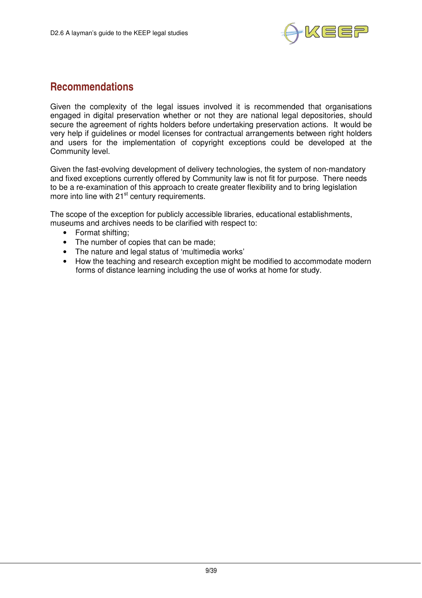

## **Recommendations**

Given the complexity of the legal issues involved it is recommended that organisations engaged in digital preservation whether or not they are national legal depositories, should secure the agreement of rights holders before undertaking preservation actions. It would be very help if guidelines or model licenses for contractual arrangements between right holders and users for the implementation of copyright exceptions could be developed at the Community level.

Given the fast-evolving development of delivery technologies, the system of non-mandatory and fixed exceptions currently offered by Community law is not fit for purpose. There needs to be a re-examination of this approach to create greater flexibility and to bring legislation more into line with 21<sup>st</sup> century requirements.

The scope of the exception for publicly accessible libraries, educational establishments, museums and archives needs to be clarified with respect to:

- Format shifting;
- The number of copies that can be made;
- The nature and legal status of 'multimedia works'
- How the teaching and research exception might be modified to accommodate modern forms of distance learning including the use of works at home for study.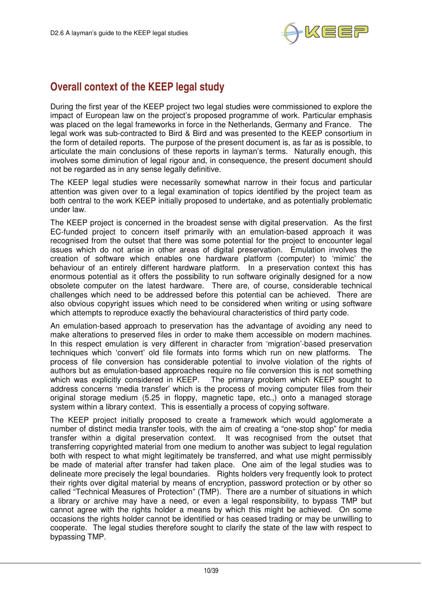

# **Overall context of the KEEP legal study**

During the first year of the KEEP project two legal studies were commissioned to explore the impact of European law on the project's proposed programme of work. Particular emphasis was placed on the legal frameworks in force in the Netherlands, Germany and France. The legal work was sub-contracted to Bird & Bird and was presented to the KEEP consortium in the form of detailed reports. The purpose of the present document is, as far as is possible, to articulate the main conclusions of these reports in layman's terms. Naturally enough, this involves some diminution of legal rigour and, in consequence, the present document should not be regarded as in any sense legally definitive.

The KEEP legal studies were necessarily somewhat narrow in their focus and particular attention was given over to a legal examination of topics identified by the project team as both central to the work KEEP initially proposed to undertake, and as potentially problematic under law.

The KEEP project is concerned in the broadest sense with digital preservation. As the first EC-funded project to concern itself primarily with an emulation-based approach it was recognised from the outset that there was some potential for the project to encounter legal issues which do not arise in other areas of digital preservation. Emulation involves the creation of software which enables one hardware platform (computer) to 'mimic' the behaviour of an entirely different hardware platform. In a preservation context this has enormous potential as it offers the possibility to run software originally designed for a now obsolete computer on the latest hardware. There are, of course, considerable technical challenges which need to be addressed before this potential can be achieved. There are also obvious copyright issues which need to be considered when writing or using software which attempts to reproduce exactly the behavioural characteristics of third party code.

An emulation-based approach to preservation has the advantage of avoiding any need to make alterations to preserved files in order to make them accessible on modern machines. In this respect emulation is very different in character from 'migration'-based preservation techniques which 'convert' old file formats into forms which run on new platforms. The process of file conversion has considerable potential to involve violation of the rights of authors but as emulation-based approaches require no file conversion this is not something which was explicitly considered in KEEP. The primary problem which KEEP sought to address concerns 'media transfer' which is the process of moving computer files from their original storage medium (5.25 in floppy, magnetic tape, etc.,) onto a managed storage system within a library context. This is essentially a process of copying software.

The KEEP project initially proposed to create a framework which would agglomerate a number of distinct media transfer tools, with the aim of creating a "one-stop shop" for media transfer within a digital preservation context. It was recognised from the outset that transferring copyrighted material from one medium to another was subject to legal regulation both with respect to what might legitimately be transferred, and what use might permissibly be made of material after transfer had taken place. One aim of the legal studies was to delineate more precisely the legal boundaries. Rights holders very frequently look to protect their rights over digital material by means of encryption, password protection or by other so called "Technical Measures of Protection" (TMP). There are a number of situations in which a library or archive may have a need, or even a legal responsibility, to bypass TMP but cannot agree with the rights holder a means by which this might be achieved. On some occasions the rights holder cannot be identified or has ceased trading or may be unwilling to cooperate. The legal studies therefore sought to clarify the state of the law with respect to bypassing TMP.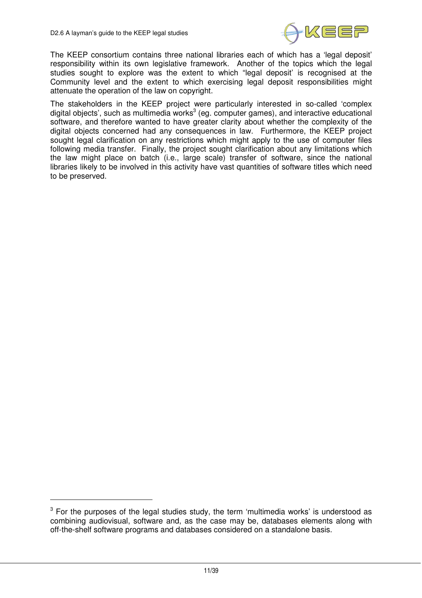$\overline{a}$ 



The KEEP consortium contains three national libraries each of which has a 'legal deposit' responsibility within its own legislative framework. Another of the topics which the legal studies sought to explore was the extent to which "legal deposit' is recognised at the Community level and the extent to which exercising legal deposit responsibilities might attenuate the operation of the law on copyright.

The stakeholders in the KEEP project were particularly interested in so-called 'complex digital objects', such as multimedia works<sup>3</sup> (eg. computer games), and interactive educational software, and therefore wanted to have greater clarity about whether the complexity of the digital objects concerned had any consequences in law. Furthermore, the KEEP project sought legal clarification on any restrictions which might apply to the use of computer files following media transfer. Finally, the project sought clarification about any limitations which the law might place on batch (i.e., large scale) transfer of software, since the national libraries likely to be involved in this activity have vast quantities of software titles which need to be preserved.

 $3$  For the purposes of the legal studies study, the term 'multimedia works' is understood as combining audiovisual, software and, as the case may be, databases elements along with off-the-shelf software programs and databases considered on a standalone basis.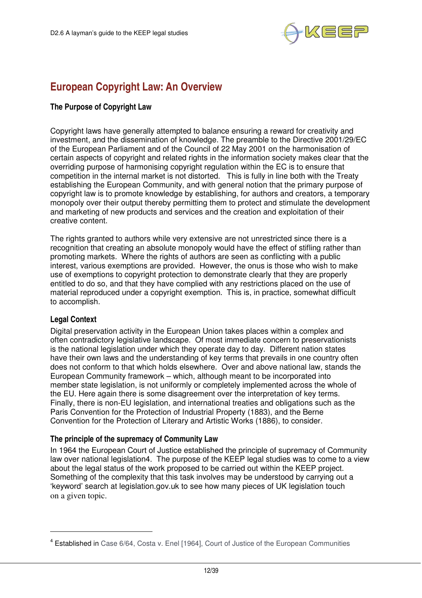

# **European Copyright Law: An Overview**

#### **The Purpose of Copyright Law**

Copyright laws have generally attempted to balance ensuring a reward for creativity and investment, and the dissemination of knowledge. The preamble to the Directive 2001/29/EC of the European Parliament and of the Council of 22 May 2001 on the harmonisation of certain aspects of copyright and related rights in the information society makes clear that the overriding purpose of harmonising copyright regulation within the EC is to ensure that competition in the internal market is not distorted. This is fully in line both with the Treaty establishing the European Community, and with general notion that the primary purpose of copyright law is to promote knowledge by establishing, for authors and creators, a temporary monopoly over their output thereby permitting them to protect and stimulate the development and marketing of new products and services and the creation and exploitation of their creative content.

The rights granted to authors while very extensive are not unrestricted since there is a recognition that creating an absolute monopoly would have the effect of stifling rather than promoting markets. Where the rights of authors are seen as conflicting with a public interest, various exemptions are provided. However, the onus is those who wish to make use of exemptions to copyright protection to demonstrate clearly that they are properly entitled to do so, and that they have complied with any restrictions placed on the use of material reproduced under a copyright exemption. This is, in practice, somewhat difficult to accomplish.

#### **Legal Context**

 $\overline{a}$ 

Digital preservation activity in the European Union takes places within a complex and often contradictory legislative landscape. Of most immediate concern to preservationists is the national legislation under which they operate day to day. Different nation states have their own laws and the understanding of key terms that prevails in one country often does not conform to that which holds elsewhere. Over and above national law, stands the European Community framework – which, although meant to be incorporated into member state legislation, is not uniformly or completely implemented across the whole of the EU. Here again there is some disagreement over the interpretation of key terms. Finally, there is non-EU legislation, and international treaties and obligations such as the Paris Convention for the Protection of Industrial Property (1883), and the Berne Convention for the Protection of Literary and Artistic Works (1886), to consider.

#### **The principle of the supremacy of Community Law**

In 1964 the European Court of Justice established the principle of supremacy of Community law over national legislation4. The purpose of the KEEP legal studies was to come to a view about the legal status of the work proposed to be carried out within the KEEP project. Something of the complexity that this task involves may be understood by carrying out a 'keyword' search at legislation.gov.uk to see how many pieces of UK legislation touch on a given topic.

<sup>&</sup>lt;sup>4</sup> Established in Case 6/64, Costa v. Enel [1964], Court of Justice of the European Communities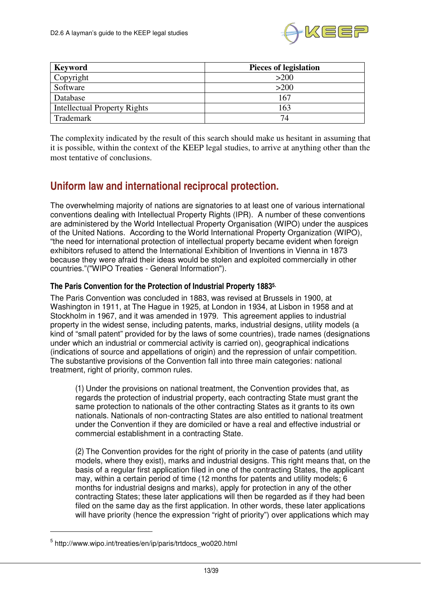

| <b>Keyword</b>                      | <b>Pieces of legislation</b> |
|-------------------------------------|------------------------------|
| Copyright                           | $>200$                       |
| Software                            | $>200$                       |
| Database                            | 167                          |
| <b>Intellectual Property Rights</b> | 163                          |
| <b>Trademark</b>                    | 74                           |

The complexity indicated by the result of this search should make us hesitant in assuming that it is possible, within the context of the KEEP legal studies, to arrive at anything other than the most tentative of conclusions.

## **Uniform law and international reciprocal protection.**

The overwhelming majority of nations are signatories to at least one of various international conventions dealing with Intellectual Property Rights (IPR). A number of these conventions are administered by the World Intellectual Property Organisation (WIPO) under the auspices of the United Nations. According to the World International Property Organization (WIPO), "the need for international protection of intellectual property became evident when foreign exhibitors refused to attend the International Exhibition of Inventions in Vienna in 1873 because they were afraid their ideas would be stolen and exploited commercially in other countries."("WIPO Treaties - General Information").

#### **The Paris Convention for the Protection of Industrial Property 18835.**

The Paris Convention was concluded in 1883, was revised at Brussels in 1900, at Washington in 1911, at The Hague in 1925, at London in 1934, at Lisbon in 1958 and at Stockholm in 1967, and it was amended in 1979. This agreement applies to industrial property in the widest sense, including patents, marks, industrial designs, utility models (a kind of "small patent" provided for by the laws of some countries), trade names (designations under which an industrial or commercial activity is carried on), geographical indications (indications of source and appellations of origin) and the repression of unfair competition. The substantive provisions of the Convention fall into three main categories: national treatment, right of priority, common rules.

(1) Under the provisions on national treatment, the Convention provides that, as regards the protection of industrial property, each contracting State must grant the same protection to nationals of the other contracting States as it grants to its own nationals. Nationals of non-contracting States are also entitled to national treatment under the Convention if they are domiciled or have a real and effective industrial or commercial establishment in a contracting State.

(2) The Convention provides for the right of priority in the case of patents (and utility models, where they exist), marks and industrial designs. This right means that, on the basis of a regular first application filed in one of the contracting States, the applicant may, within a certain period of time (12 months for patents and utility models; 6 months for industrial designs and marks), apply for protection in any of the other contracting States; these later applications will then be regarded as if they had been filed on the same day as the first application. In other words, these later applications will have priority (hence the expression "right of priority") over applications which may

 $\overline{a}$ 

<sup>5</sup> http://www.wipo.int/treaties/en/ip/paris/trtdocs\_wo020.html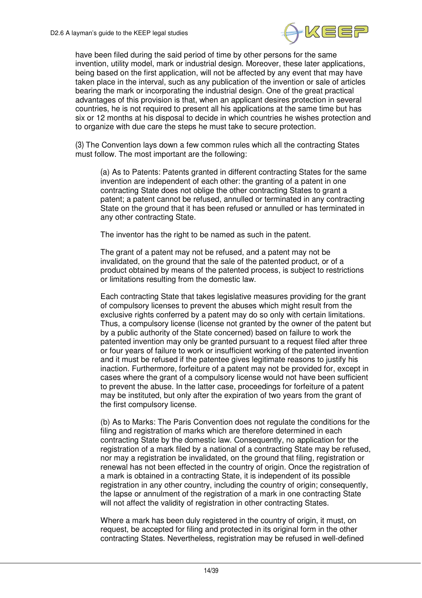

have been filed during the said period of time by other persons for the same invention, utility model, mark or industrial design. Moreover, these later applications, being based on the first application, will not be affected by any event that may have taken place in the interval, such as any publication of the invention or sale of articles bearing the mark or incorporating the industrial design. One of the great practical advantages of this provision is that, when an applicant desires protection in several countries, he is not required to present all his applications at the same time but has six or 12 months at his disposal to decide in which countries he wishes protection and to organize with due care the steps he must take to secure protection.

(3) The Convention lays down a few common rules which all the contracting States must follow. The most important are the following:

(a) As to Patents: Patents granted in different contracting States for the same invention are independent of each other: the granting of a patent in one contracting State does not oblige the other contracting States to grant a patent; a patent cannot be refused, annulled or terminated in any contracting State on the ground that it has been refused or annulled or has terminated in any other contracting State.

The inventor has the right to be named as such in the patent.

The grant of a patent may not be refused, and a patent may not be invalidated, on the ground that the sale of the patented product, or of a product obtained by means of the patented process, is subject to restrictions or limitations resulting from the domestic law.

Each contracting State that takes legislative measures providing for the grant of compulsory licenses to prevent the abuses which might result from the exclusive rights conferred by a patent may do so only with certain limitations. Thus, a compulsory license (license not granted by the owner of the patent but by a public authority of the State concerned) based on failure to work the patented invention may only be granted pursuant to a request filed after three or four years of failure to work or insufficient working of the patented invention and it must be refused if the patentee gives legitimate reasons to justify his inaction. Furthermore, forfeiture of a patent may not be provided for, except in cases where the grant of a compulsory license would not have been sufficient to prevent the abuse. In the latter case, proceedings for forfeiture of a patent may be instituted, but only after the expiration of two years from the grant of the first compulsory license.

(b) As to Marks: The Paris Convention does not regulate the conditions for the filing and registration of marks which are therefore determined in each contracting State by the domestic law. Consequently, no application for the registration of a mark filed by a national of a contracting State may be refused, nor may a registration be invalidated, on the ground that filing, registration or renewal has not been effected in the country of origin. Once the registration of a mark is obtained in a contracting State, it is independent of its possible registration in any other country, including the country of origin; consequently, the lapse or annulment of the registration of a mark in one contracting State will not affect the validity of registration in other contracting States.

Where a mark has been duly registered in the country of origin, it must, on request, be accepted for filing and protected in its original form in the other contracting States. Nevertheless, registration may be refused in well-defined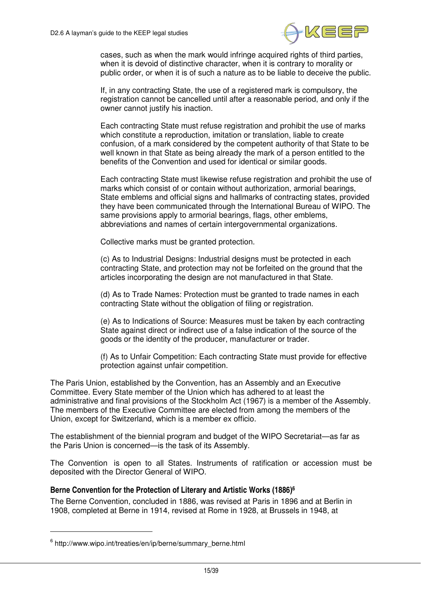

cases, such as when the mark would infringe acquired rights of third parties, when it is devoid of distinctive character, when it is contrary to morality or public order, or when it is of such a nature as to be liable to deceive the public.

If, in any contracting State, the use of a registered mark is compulsory, the registration cannot be cancelled until after a reasonable period, and only if the owner cannot justify his inaction.

Each contracting State must refuse registration and prohibit the use of marks which constitute a reproduction, imitation or translation, liable to create confusion, of a mark considered by the competent authority of that State to be well known in that State as being already the mark of a person entitled to the benefits of the Convention and used for identical or similar goods.

Each contracting State must likewise refuse registration and prohibit the use of marks which consist of or contain without authorization, armorial bearings, State emblems and official signs and hallmarks of contracting states, provided they have been communicated through the International Bureau of WIPO. The same provisions apply to armorial bearings, flags, other emblems, abbreviations and names of certain intergovernmental organizations.

Collective marks must be granted protection.

(c) As to Industrial Designs: Industrial designs must be protected in each contracting State, and protection may not be forfeited on the ground that the articles incorporating the design are not manufactured in that State.

(d) As to Trade Names: Protection must be granted to trade names in each contracting State without the obligation of filing or registration.

(e) As to Indications of Source: Measures must be taken by each contracting State against direct or indirect use of a false indication of the source of the goods or the identity of the producer, manufacturer or trader.

(f) As to Unfair Competition: Each contracting State must provide for effective protection against unfair competition.

The Paris Union, established by the Convention, has an Assembly and an Executive Committee. Every State member of the Union which has adhered to at least the administrative and final provisions of the Stockholm Act (1967) is a member of the Assembly. The members of the Executive Committee are elected from among the members of the Union, except for Switzerland, which is a member ex officio.

The establishment of the biennial program and budget of the WIPO Secretariat—as far as the Paris Union is concerned—is the task of its Assembly.

The Convention is open to all States. Instruments of ratification or accession must be deposited with the Director General of WIPO.

#### **Berne Convention for the Protection of Literary and Artistic Works (1886)<sup>6</sup>**

The Berne Convention, concluded in 1886, was revised at Paris in 1896 and at Berlin in 1908, completed at Berne in 1914, revised at Rome in 1928, at Brussels in 1948, at

 $\overline{a}$ 

<sup>6</sup> http://www.wipo.int/treaties/en/ip/berne/summary\_berne.html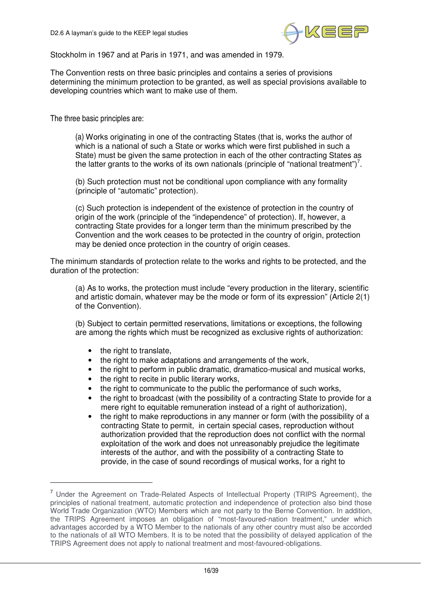

Stockholm in 1967 and at Paris in 1971, and was amended in 1979.

The Convention rests on three basic principles and contains a series of provisions determining the minimum protection to be granted, as well as special provisions available to developing countries which want to make use of them.

The three basic principles are:

(a) Works originating in one of the contracting States (that is, works the author of which is a national of such a State or works which were first published in such a State) must be given the same protection in each of the other contracting States as the latter grants to the works of its own nationals (principle of "national treatment")<sup>7</sup>.

(b) Such protection must not be conditional upon compliance with any formality (principle of "automatic" protection).

(c) Such protection is independent of the existence of protection in the country of origin of the work (principle of the "independence" of protection). If, however, a contracting State provides for a longer term than the minimum prescribed by the Convention and the work ceases to be protected in the country of origin, protection may be denied once protection in the country of origin ceases.

The minimum standards of protection relate to the works and rights to be protected, and the duration of the protection:

(a) As to works, the protection must include "every production in the literary, scientific and artistic domain, whatever may be the mode or form of its expression" (Article 2(1) of the Convention).

(b) Subject to certain permitted reservations, limitations or exceptions, the following are among the rights which must be recognized as exclusive rights of authorization:

the right to translate.

 $\overline{a}$ 

- the right to make adaptations and arrangements of the work,
- the right to perform in public dramatic, dramatico-musical and musical works,
- the right to recite in public literary works,
- the right to communicate to the public the performance of such works,
- the right to broadcast (with the possibility of a contracting State to provide for a mere right to equitable remuneration instead of a right of authorization),
- the right to make reproductions in any manner or form (with the possibility of a contracting State to permit, in certain special cases, reproduction without authorization provided that the reproduction does not conflict with the normal exploitation of the work and does not unreasonably prejudice the legitimate interests of the author, and with the possibility of a contracting State to provide, in the case of sound recordings of musical works, for a right to

<sup>&</sup>lt;sup>7</sup> Under the Agreement on Trade-Related Aspects of Intellectual Property (TRIPS Agreement), the principles of national treatment, automatic protection and independence of protection also bind those World Trade Organization (WTO) Members which are not party to the Berne Convention. In addition, the TRIPS Agreement imposes an obligation of "most-favoured-nation treatment," under which advantages accorded by a WTO Member to the nationals of any other country must also be accorded to the nationals of all WTO Members. It is to be noted that the possibility of delayed application of the TRIPS Agreement does not apply to national treatment and most-favoured-obligations.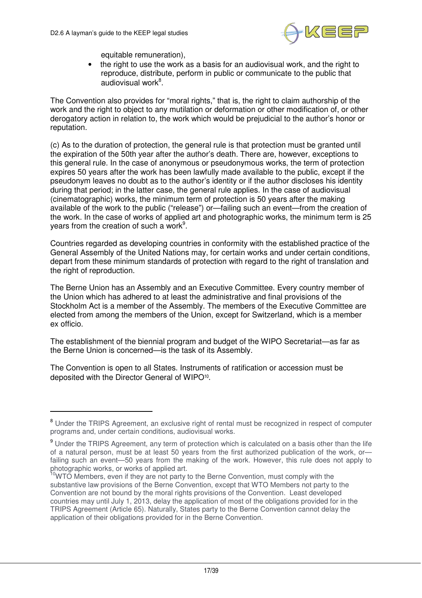$\overline{a}$ 



equitable remuneration),

• the right to use the work as a basis for an audiovisual work, and the right to reproduce, distribute, perform in public or communicate to the public that audiovisual work<sup>8</sup>.

The Convention also provides for "moral rights," that is, the right to claim authorship of the work and the right to object to any mutilation or deformation or other modification of, or other derogatory action in relation to, the work which would be prejudicial to the author's honor or reputation.

(c) As to the duration of protection, the general rule is that protection must be granted until the expiration of the 50th year after the author's death. There are, however, exceptions to this general rule. In the case of anonymous or pseudonymous works, the term of protection expires 50 years after the work has been lawfully made available to the public, except if the pseudonym leaves no doubt as to the author's identity or if the author discloses his identity during that period; in the latter case, the general rule applies. In the case of audiovisual (cinematographic) works, the minimum term of protection is 50 years after the making available of the work to the public ("release") or—failing such an event—from the creation of the work. In the case of works of applied art and photographic works, the minimum term is 25 years from the creation of such a work<sup>9</sup>.

Countries regarded as developing countries in conformity with the established practice of the General Assembly of the United Nations may, for certain works and under certain conditions, depart from these minimum standards of protection with regard to the right of translation and the right of reproduction.

The Berne Union has an Assembly and an Executive Committee. Every country member of the Union which has adhered to at least the administrative and final provisions of the Stockholm Act is a member of the Assembly. The members of the Executive Committee are elected from among the members of the Union, except for Switzerland, which is a member ex officio.

The establishment of the biennial program and budget of the WIPO Secretariat—as far as the Berne Union is concerned—is the task of its Assembly.

The Convention is open to all States. Instruments of ratification or accession must be deposited with the Director General of WIPO<sup>10</sup>.

<sup>&</sup>lt;sup>8</sup> Under the TRIPS Agreement, an exclusive right of rental must be recognized in respect of computer programs and, under certain conditions, audiovisual works.

<sup>&</sup>lt;sup>9</sup> Under the TRIPS Agreement, any term of protection which is calculated on a basis other than the life of a natural person, must be at least 50 years from the first authorized publication of the work, or failing such an event—50 years from the making of the work. However, this rule does not apply to photographic works, or works of applied art.

 $10$ WTO Members, even if they are not party to the Berne Convention, must comply with the substantive law provisions of the Berne Convention, except that WTO Members not party to the Convention are not bound by the moral rights provisions of the Convention. Least developed countries may until July 1, 2013, delay the application of most of the obligations provided for in the TRIPS Agreement (Article 65). Naturally, States party to the Berne Convention cannot delay the application of their obligations provided for in the Berne Convention.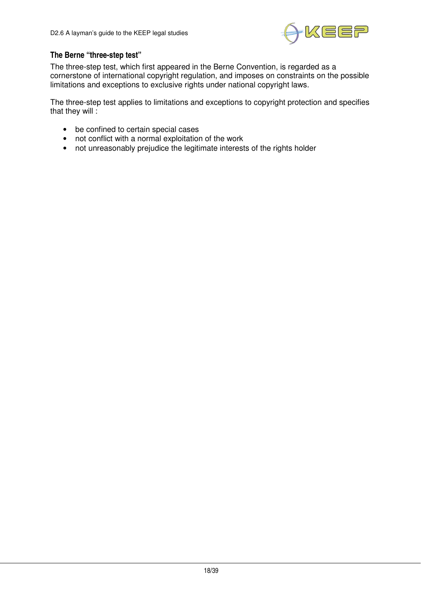

#### **The Berne "three-step test"**

The three-step test, which first appeared in the Berne Convention, is regarded as a cornerstone of international copyright regulation, and imposes on constraints on the possible limitations and exceptions to exclusive rights under national copyright laws.

The three-step test applies to limitations and exceptions to copyright protection and specifies that they will :

- be confined to certain special cases
- not conflict with a normal exploitation of the work
- not unreasonably prejudice the legitimate interests of the rights holder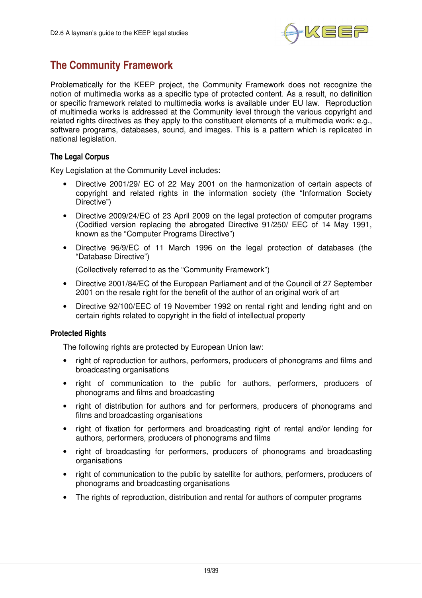

# **The Community Framework**

Problematically for the KEEP project, the Community Framework does not recognize the notion of multimedia works as a specific type of protected content. As a result, no definition or specific framework related to multimedia works is available under EU law. Reproduction of multimedia works is addressed at the Community level through the various copyright and related rights directives as they apply to the constituent elements of a multimedia work: e.g., software programs, databases, sound, and images. This is a pattern which is replicated in national legislation.

#### **The Legal Corpus**

Key Legislation at the Community Level includes:

- Directive 2001/29/ EC of 22 May 2001 on the harmonization of certain aspects of copyright and related rights in the information society (the "Information Society Directive")
- Directive 2009/24/EC of 23 April 2009 on the legal protection of computer programs (Codified version replacing the abrogated Directive 91/250/ EEC of 14 May 1991, known as the "Computer Programs Directive")
- Directive 96/9/EC of 11 March 1996 on the legal protection of databases (the "Database Directive")

(Collectively referred to as the "Community Framework")

- Directive 2001/84/EC of the European Parliament and of the Council of 27 September 2001 on the resale right for the benefit of the author of an original work of art
- Directive 92/100/EEC of 19 November 1992 on rental right and lending right and on certain rights related to copyright in the field of intellectual property

#### **Protected Rights**

The following rights are protected by European Union law:

- right of reproduction for authors, performers, producers of phonograms and films and broadcasting organisations
- right of communication to the public for authors, performers, producers of phonograms and films and broadcasting
- right of distribution for authors and for performers, producers of phonograms and films and broadcasting organisations
- right of fixation for performers and broadcasting right of rental and/or lending for authors, performers, producers of phonograms and films
- right of broadcasting for performers, producers of phonograms and broadcasting organisations
- right of communication to the public by satellite for authors, performers, producers of phonograms and broadcasting organisations
- The rights of reproduction, distribution and rental for authors of computer programs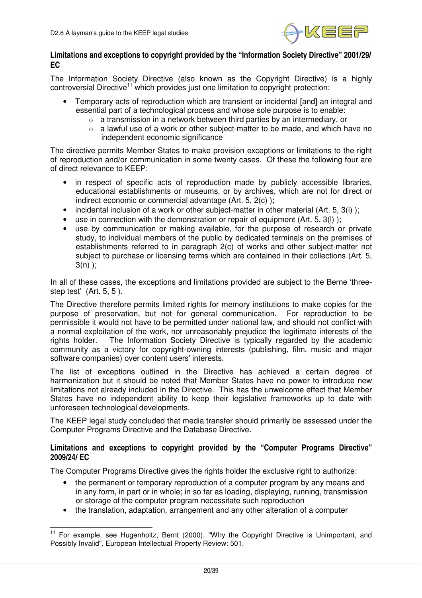

#### **Limitations and exceptions to copyright provided by the "Information Society Directive" 2001/29/ EC**

The Information Society Directive (also known as the Copyright Directive) is a highly controversial Directive<sup>11</sup> which provides just one limitation to copyright protection:

- Temporary acts of reproduction which are transient or incidental [and] an integral and essential part of a technological process and whose sole purpose is to enable:
	- o a transmission in a network between third parties by an intermediary, or
	- o a lawful use of a work or other subject-matter to be made, and which have no independent economic significance

The directive permits Member States to make provision exceptions or limitations to the right of reproduction and/or communication in some twenty cases. Of these the following four are of direct relevance to KEEP:

- in respect of specific acts of reproduction made by publicly accessible libraries, educational establishments or museums, or by archives, which are not for direct or indirect economic or commercial advantage (Art. 5, 2(c) );
- incidental inclusion of a work or other subject-matter in other material (Art. 5, 3(i));
- use in connection with the demonstration or repair of equipment (Art. 5, 3(l) );
- use by communication or making available, for the purpose of research or private study, to individual members of the public by dedicated terminals on the premises of establishments referred to in paragraph 2(c) of works and other subject-matter not subject to purchase or licensing terms which are contained in their collections (Art. 5,  $3(n)$  );

In all of these cases, the exceptions and limitations provided are subject to the Berne 'threestep test' (Art. 5, 5 ).

The Directive therefore permits limited rights for memory institutions to make copies for the purpose of preservation, but not for general communication. For reproduction to be permissible it would not have to be permitted under national law, and should not conflict with a normal exploitation of the work, nor unreasonably prejudice the legitimate interests of the rights holder. The Information Society Directive is typically regarded by the academic community as a victory for copyright-owning interests (publishing, film, music and major software companies) over content users' interests.

The list of exceptions outlined in the Directive has achieved a certain degree of harmonization but it should be noted that Member States have no power to introduce new limitations not already included in the Directive. This has the unwelcome effect that Member States have no independent ability to keep their legislative frameworks up to date with unforeseen technological developments.

The KEEP legal study concluded that media transfer should primarily be assessed under the Computer Programs Directive and the Database Directive.

#### **Limitations and exceptions to copyright provided by the "Computer Programs Directive" 2009/24/ EC**

The Computer Programs Directive gives the rights holder the exclusive right to authorize:

- the permanent or temporary reproduction of a computer program by any means and in any form, in part or in whole; in so far as loading, displaying, running, transmission or storage of the computer program necessitate such reproduction
- the translation, adaptation, arrangement and any other alteration of a computer

 $\overline{\phantom{a}}$ <sup>11</sup> For example, see Hugenholtz, Bernt (2000). "Why the Copyright Directive is Unimportant, and Possibly Invalid". European Intellectual Property Review: 501.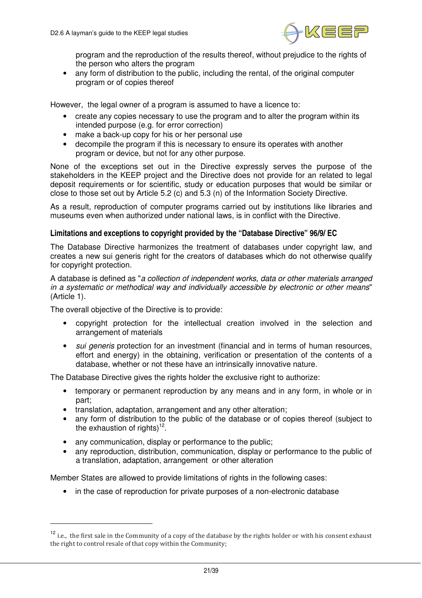

program and the reproduction of the results thereof, without prejudice to the rights of the person who alters the program

• any form of distribution to the public, including the rental, of the original computer program or of copies thereof

However, the legal owner of a program is assumed to have a licence to:

- create any copies necessary to use the program and to alter the program within its intended purpose (e.g. for error correction)
- make a back-up copy for his or her personal use
- decompile the program if this is necessary to ensure its operates with another program or device, but not for any other purpose.

None of the exceptions set out in the Directive expressly serves the purpose of the stakeholders in the KEEP project and the Directive does not provide for an related to legal deposit requirements or for scientific, study or education purposes that would be similar or close to those set out by Article 5.2 (c) and 5.3 (n) of the Information Society Directive.

As a result, reproduction of computer programs carried out by institutions like libraries and museums even when authorized under national laws, is in conflict with the Directive.

#### **Limitations and exceptions to copyright provided by the "Database Directive" 96/9/ EC**

The Database Directive harmonizes the treatment of databases under copyright law, and creates a new sui generis right for the creators of databases which do not otherwise qualify for copyright protection.

A database is defined as "a collection of independent works, data or other materials arranged in a systematic or methodical way and individually accessible by electronic or other means" (Article 1).

The overall objective of the Directive is to provide:

 $\overline{a}$ 

- copyright protection for the intellectual creation involved in the selection and arrangement of materials
- *sui generis* protection for an investment (financial and in terms of human resources, effort and energy) in the obtaining, verification or presentation of the contents of a database, whether or not these have an intrinsically innovative nature.

The Database Directive gives the rights holder the exclusive right to authorize:

- temporary or permanent reproduction by any means and in any form, in whole or in part;
- translation, adaptation, arrangement and any other alteration;
- any form of distribution to the public of the database or of copies thereof (subject to the exhaustion of rights)<sup>12</sup>.
- any communication, display or performance to the public;
- any reproduction, distribution, communication, display or performance to the public of a translation, adaptation, arrangement or other alteration

Member States are allowed to provide limitations of rights in the following cases:

• in the case of reproduction for private purposes of a non-electronic database

<sup>&</sup>lt;sup>12</sup> i.e., the first sale in the Community of a copy of the database by the rights holder or with his consent exhaust the right to control resale of that copy within the Community;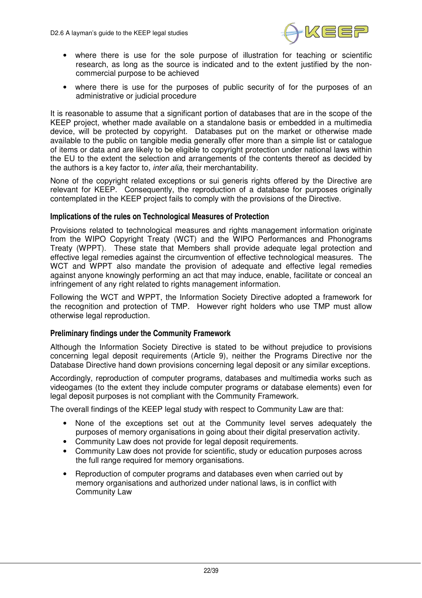

- where there is use for the sole purpose of illustration for teaching or scientific research, as long as the source is indicated and to the extent justified by the noncommercial purpose to be achieved
- where there is use for the purposes of public security of for the purposes of an administrative or judicial procedure

It is reasonable to assume that a significant portion of databases that are in the scope of the KEEP project, whether made available on a standalone basis or embedded in a multimedia device, will be protected by copyright. Databases put on the market or otherwise made available to the public on tangible media generally offer more than a simple list or catalogue of items or data and are likely to be eligible to copyright protection under national laws within the EU to the extent the selection and arrangements of the contents thereof as decided by the authors is a key factor to, inter alia, their merchantability.

None of the copyright related exceptions or sui generis rights offered by the Directive are relevant for KEEP. Consequently, the reproduction of a database for purposes originally contemplated in the KEEP project fails to comply with the provisions of the Directive.

#### **Implications of the rules on Technological Measures of Protection**

Provisions related to technological measures and rights management information originate from the WIPO Copyright Treaty (WCT) and the WIPO Performances and Phonograms Treaty (WPPT). These state that Members shall provide adequate legal protection and effective legal remedies against the circumvention of effective technological measures. The WCT and WPPT also mandate the provision of adequate and effective legal remedies against anyone knowingly performing an act that may induce, enable, facilitate or conceal an infringement of any right related to rights management information.

Following the WCT and WPPT, the Information Society Directive adopted a framework for the recognition and protection of TMP. However right holders who use TMP must allow otherwise legal reproduction.

#### **Preliminary findings under the Community Framework**

Although the Information Society Directive is stated to be without prejudice to provisions concerning legal deposit requirements (Article 9), neither the Programs Directive nor the Database Directive hand down provisions concerning legal deposit or any similar exceptions.

Accordingly, reproduction of computer programs, databases and multimedia works such as videogames (to the extent they include computer programs or database elements) even for legal deposit purposes is not compliant with the Community Framework.

The overall findings of the KEEP legal study with respect to Community Law are that:

- None of the exceptions set out at the Community level serves adequately the purposes of memory organisations in going about their digital preservation activity.
- Community Law does not provide for legal deposit requirements.
- Community Law does not provide for scientific, study or education purposes across the full range required for memory organisations.
- Reproduction of computer programs and databases even when carried out by memory organisations and authorized under national laws, is in conflict with Community Law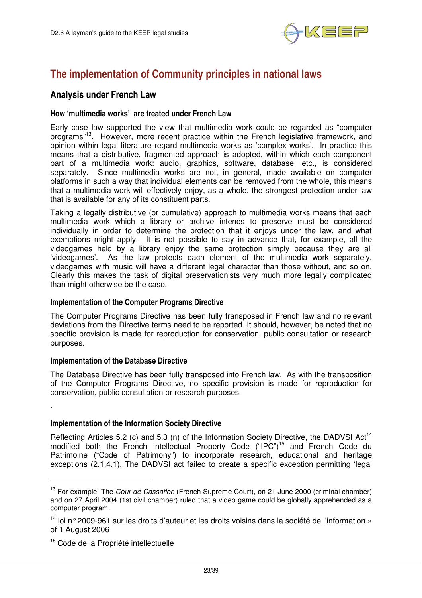

# **The implementation of Community principles in national laws**

### **Analysis under French Law**

#### **How 'multimedia works' are treated under French Law**

Early case law supported the view that multimedia work could be regarded as "computer programs"<sup>13</sup>. However, more recent practice within the French legislative framework, and opinion within legal literature regard multimedia works as 'complex works'. In practice this means that a distributive, fragmented approach is adopted, within which each component part of a multimedia work: audio, graphics, software, database, etc., is considered separately. Since multimedia works are not, in general, made available on computer platforms in such a way that individual elements can be removed from the whole, this means that a multimedia work will effectively enjoy, as a whole, the strongest protection under law that is available for any of its constituent parts.

Taking a legally distributive (or cumulative) approach to multimedia works means that each multimedia work which a library or archive intends to preserve must be considered individually in order to determine the protection that it enjoys under the law, and what exemptions might apply. It is not possible to say in advance that, for example, all the videogames held by a library enjoy the same protection simply because they are all 'videogames'. As the law protects each element of the multimedia work separately, videogames with music will have a different legal character than those without, and so on. Clearly this makes the task of digital preservationists very much more legally complicated than might otherwise be the case.

#### **Implementation of the Computer Programs Directive**

The Computer Programs Directive has been fully transposed in French law and no relevant deviations from the Directive terms need to be reported. It should, however, be noted that no specific provision is made for reproduction for conservation, public consultation or research purposes.

#### **Implementation of the Database Directive**

.

 $\overline{a}$ 

The Database Directive has been fully transposed into French law. As with the transposition of the Computer Programs Directive, no specific provision is made for reproduction for conservation, public consultation or research purposes.

#### **Implementation of the Information Society Directive**

Reflecting Articles 5.2 (c) and 5.3 (n) of the Information Society Directive, the DADVSI Act<sup>14</sup> modified both the French Intellectual Property Code ("IPC")<sup>15</sup> and French Code du Patrimoine ("Code of Patrimony") to incorporate research, educational and heritage exceptions (2.1.4.1). The DADVSI act failed to create a specific exception permitting 'legal

<sup>&</sup>lt;sup>13</sup> For example, The *Cour de Cassation* (French Supreme Court), on 21 June 2000 (criminal chamber) and on 27 April 2004 (1st civil chamber) ruled that a video game could be globally apprehended as a computer program.

 $14$  loi n° 2009-961 sur les droits d'auteur et les droits voisins dans la société de l'information » of 1 August 2006

<sup>&</sup>lt;sup>15</sup> Code de la Propriété intellectuelle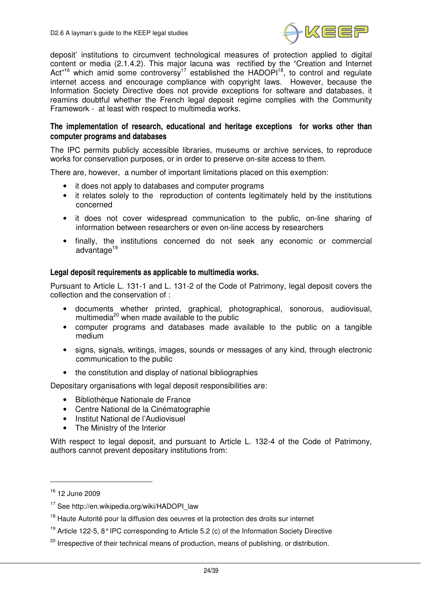

deposit' institutions to circumvent technological measures of protection applied to digital content or media (2.1.4.2). This major lacuna was rectified by the "Creation and Internet Act<sup> $16$ </sup> which amid some controversy<sup>17</sup> established the HADOPI<sup>18</sup>, to control and regulate internet access and encourage compliance with copyright laws. However, because the Information Society Directive does not provide exceptions for software and databases, it reamins doubtful whether the French legal deposit regime complies with the Community Framework - at least with respect to multimedia works.

#### **The implementation of research, educational and heritage exceptions for works other than computer programs and databases**

The IPC permits publicly accessible libraries, museums or archive services, to reproduce works for conservation purposes, or in order to preserve on-site access to them.

There are, however, a number of important limitations placed on this exemption:

- it does not apply to databases and computer programs
- it relates solely to the reproduction of contents legitimately held by the institutions concerned
- it does not cover widespread communication to the public, on-line sharing of information between researchers or even on-line access by researchers
- finally, the institutions concerned do not seek any economic or commercial advantage<sup>19</sup>

#### **Legal deposit requirements as applicable to multimedia works.**

Pursuant to Article L. 131-1 and L. 131-2 of the Code of Patrimony, legal deposit covers the collection and the conservation of :

- documents whether printed, graphical, photographical, sonorous, audiovisual, multimedia<sup>20</sup> when made available to the public
- computer programs and databases made available to the public on a tangible medium
- signs, signals, writings, images, sounds or messages of any kind, through electronic communication to the public
- the constitution and display of national bibliographies

Depositary organisations with legal deposit responsibilities are:

- Bibliothèque Nationale de France
- Centre National de la Cinématographie
- Institut National de l'Audiovisuel
- The Ministry of the Interior

With respect to legal deposit, and pursuant to Article L. 132-4 of the Code of Patrimony, authors cannot prevent depositary institutions from:

 $\overline{a}$ 

 $16$  12 June 2009

<sup>&</sup>lt;sup>17</sup> See http://en.wikipedia.org/wiki/HADOPI\_law

<sup>&</sup>lt;sup>18</sup> Haute Autorité pour la diffusion des oeuvres et la protection des droits sur internet

<sup>&</sup>lt;sup>19</sup> Article 122-5, 8° IPC corresponding to Article 5.2 (c) of the Information Society Directive

 $20$  Irrespective of their technical means of production, means of publishing, or distribution.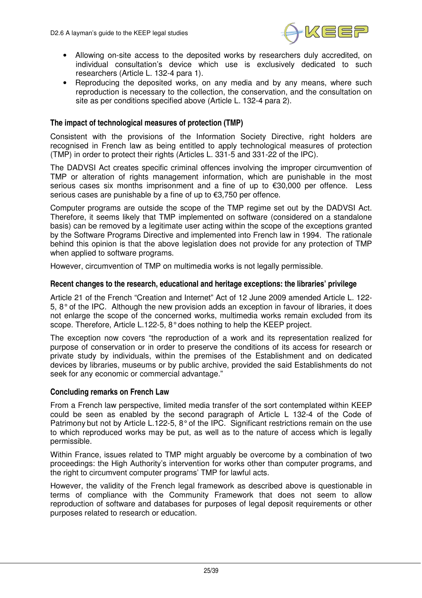

- Allowing on-site access to the deposited works by researchers duly accredited, on individual consultation's device which use is exclusively dedicated to such researchers (Article L. 132-4 para 1).
- Reproducing the deposited works, on any media and by any means, where such reproduction is necessary to the collection, the conservation, and the consultation on site as per conditions specified above (Article L. 132-4 para 2).

#### **The impact of technological measures of protection (TMP)**

Consistent with the provisions of the Information Society Directive, right holders are recognised in French law as being entitled to apply technological measures of protection (TMP) in order to protect their rights (Articles L. 331-5 and 331-22 of the IPC).

The DADVSI Act creates specific criminal offences involving the improper circumvention of TMP or alteration of rights management information, which are punishable in the most serious cases six months imprisonment and a fine of up to €30,000 per offence. Less serious cases are punishable by a fine of up to €3,750 per offence.

Computer programs are outside the scope of the TMP regime set out by the DADVSI Act. Therefore, it seems likely that TMP implemented on software (considered on a standalone basis) can be removed by a legitimate user acting within the scope of the exceptions granted by the Software Programs Directive and implemented into French law in 1994. The rationale behind this opinion is that the above legislation does not provide for any protection of TMP when applied to software programs.

However, circumvention of TMP on multimedia works is not legally permissible.

#### **Recent changes to the research, educational and heritage exceptions: the libraries' privilege**

Article 21 of the French "Creation and Internet" Act of 12 June 2009 amended Article L. 122- 5, 8° of the IPC. Although the new provision adds an exception in favour of libraries, it does not enlarge the scope of the concerned works, multimedia works remain excluded from its scope. Therefore, Article L.122-5, 8° does nothing to help the KEEP project.

The exception now covers "the reproduction of a work and its representation realized for purpose of conservation or in order to preserve the conditions of its access for research or private study by individuals, within the premises of the Establishment and on dedicated devices by libraries, museums or by public archive, provided the said Establishments do not seek for any economic or commercial advantage."

#### **Concluding remarks on French Law**

From a French law perspective, limited media transfer of the sort contemplated within KEEP could be seen as enabled by the second paragraph of Article L 132-4 of the Code of Patrimony but not by Article L.122-5, 8° of the IPC. Significant restrictions remain on the use to which reproduced works may be put, as well as to the nature of access which is legally permissible.

Within France, issues related to TMP might arguably be overcome by a combination of two proceedings: the High Authority's intervention for works other than computer programs, and the right to circumvent computer programs' TMP for lawful acts.

However, the validity of the French legal framework as described above is questionable in terms of compliance with the Community Framework that does not seem to allow reproduction of software and databases for purposes of legal deposit requirements or other purposes related to research or education.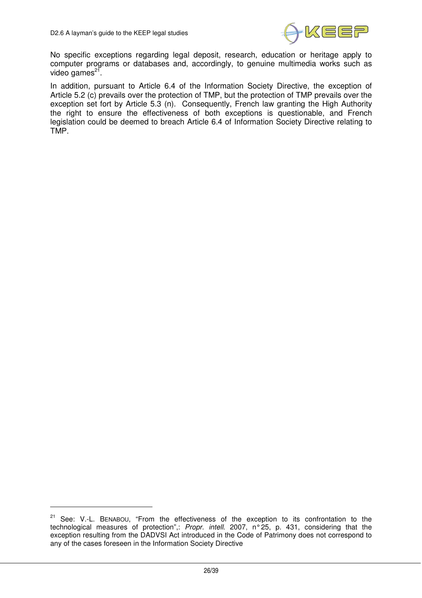$\overline{a}$ 



No specific exceptions regarding legal deposit, research, education or heritage apply to computer programs or databases and, accordingly, to genuine multimedia works such as video games<sup>21</sup>.

In addition, pursuant to Article 6.4 of the Information Society Directive, the exception of Article 5.2 (c) prevails over the protection of TMP, but the protection of TMP prevails over the exception set fort by Article 5.3 (n). Consequently, French law granting the High Authority the right to ensure the effectiveness of both exceptions is questionable, and French legislation could be deemed to breach Article 6.4 of Information Society Directive relating to TMP.

 $21$  See: V.-L. BENABOU, "From the effectiveness of the exception to its confrontation to the technological measures of protection",: Propr. intell. 2007, n° 25, p. 431, considering that the exception resulting from the DADVSI Act introduced in the Code of Patrimony does not correspond to any of the cases foreseen in the Information Society Directive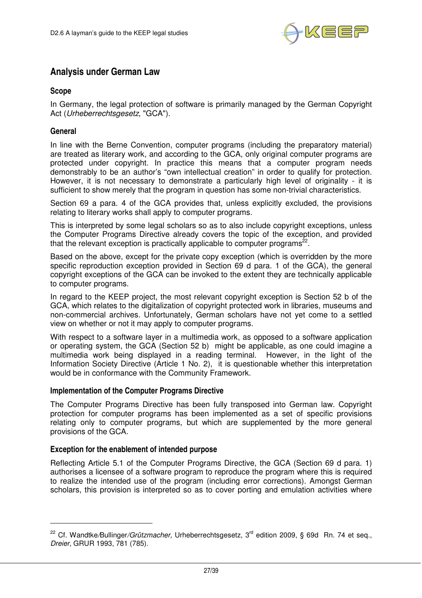

## **Analysis under German Law**

#### **Scope**

In Germany, the legal protection of software is primarily managed by the German Copyright Act (Urheberrechtsgesetz, "GCA").

#### **General**

 $\overline{a}$ 

In line with the Berne Convention, computer programs (including the preparatory material) are treated as literary work, and according to the GCA, only original computer programs are protected under copyright. In practice this means that a computer program needs demonstrably to be an author's "own intellectual creation" in order to qualify for protection. However, it is not necessary to demonstrate a particularly high level of originality - it is sufficient to show merely that the program in question has some non-trivial characteristics.

Section 69 a para. 4 of the GCA provides that, unless explicitly excluded, the provisions relating to literary works shall apply to computer programs.

This is interpreted by some legal scholars so as to also include copyright exceptions, unless the Computer Programs Directive already covers the topic of the exception, and provided that the relevant exception is practically applicable to computer programs<sup>22</sup>.

Based on the above, except for the private copy exception (which is overridden by the more specific reproduction exception provided in Section 69 d para. 1 of the GCA), the general copyright exceptions of the GCA can be invoked to the extent they are technically applicable to computer programs.

In regard to the KEEP project, the most relevant copyright exception is Section 52 b of the GCA, which relates to the digitalization of copyright protected work in libraries, museums and non-commercial archives. Unfortunately, German scholars have not yet come to a settled view on whether or not it may apply to computer programs.

With respect to a software layer in a multimedia work, as opposed to a software application or operating system, the GCA (Section 52 b) might be applicable, as one could imagine a multimedia work being displayed in a reading terminal. However, in the light of the Information Society Directive (Article 1 No. 2), it is questionable whether this interpretation would be in conformance with the Community Framework.

#### **Implementation of the Computer Programs Directive**

The Computer Programs Directive has been fully transposed into German law. Copyright protection for computer programs has been implemented as a set of specific provisions relating only to computer programs, but which are supplemented by the more general provisions of the GCA.

#### **Exception for the enablement of intended purpose**

Reflecting Article 5.1 of the Computer Programs Directive, the GCA (Section 69 d para. 1) authorises a licensee of a software program to reproduce the program where this is required to realize the intended use of the program (including error corrections). Amongst German scholars, this provision is interpreted so as to cover porting and emulation activities where

<sup>&</sup>lt;sup>22</sup> Cf. Wandtke/Bullinger/*Grützmacher*, Urheberrechtsgesetz, 3<sup>rd</sup> edition 2009, § 69d Rn. 74 et seq., Dreier, GRUR 1993, 781 (785).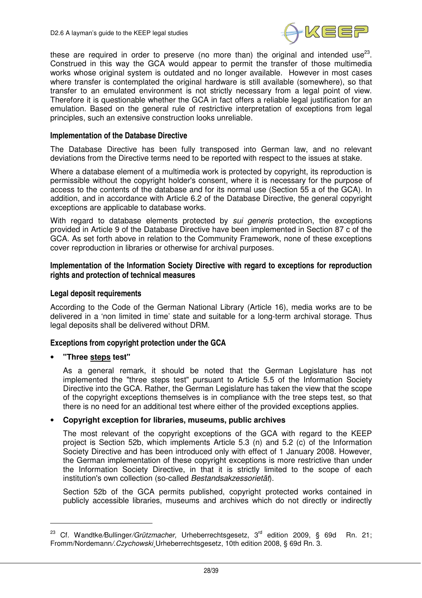

these are required in order to preserve (no more than) the original and intended use<sup>23</sup>. Construed in this way the GCA would appear to permit the transfer of those multimedia works whose original system is outdated and no longer available. However in most cases where transfer is contemplated the original hardware is still available (somewhere), so that transfer to an emulated environment is not strictly necessary from a legal point of view. Therefore it is questionable whether the GCA in fact offers a reliable legal justification for an emulation. Based on the general rule of restrictive interpretation of exceptions from legal principles, such an extensive construction looks unreliable.

#### **Implementation of the Database Directive**

The Database Directive has been fully transposed into German law, and no relevant deviations from the Directive terms need to be reported with respect to the issues at stake.

Where a database element of a multimedia work is protected by copyright, its reproduction is permissible without the copyright holder's consent, where it is necessary for the purpose of access to the contents of the database and for its normal use (Section 55 a of the GCA). In addition, and in accordance with Article 6.2 of the Database Directive, the general copyright exceptions are applicable to database works.

With regard to database elements protected by *sui generis* protection, the exceptions provided in Article 9 of the Database Directive have been implemented in Section 87 c of the GCA. As set forth above in relation to the Community Framework, none of these exceptions cover reproduction in libraries or otherwise for archival purposes.

#### **Implementation of the Information Society Directive with regard to exceptions for reproduction rights and protection of technical measures**

#### **Legal deposit requirements**

According to the Code of the German National Library (Article 16), media works are to be delivered in a 'non limited in time' state and suitable for a long-term archival storage. Thus legal deposits shall be delivered without DRM.

#### **Exceptions from copyright protection under the GCA**

• **"Three steps test"** 

 $\overline{a}$ 

As a general remark, it should be noted that the German Legislature has not implemented the "three steps test" pursuant to Article 5.5 of the Information Society Directive into the GCA. Rather, the German Legislature has taken the view that the scope of the copyright exceptions themselves is in compliance with the tree steps test, so that there is no need for an additional test where either of the provided exceptions applies.

#### • **Copyright exception for libraries, museums, public archives**

The most relevant of the copyright exceptions of the GCA with regard to the KEEP project is Section 52b, which implements Article 5.3 (n) and 5.2 (c) of the Information Society Directive and has been introduced only with effect of 1 January 2008. However, the German implementation of these copyright exceptions is more restrictive than under the Information Society Directive, in that it is strictly limited to the scope of each institution's own collection (so-called Bestandsakzessorietät).

Section 52b of the GCA permits published, copyright protected works contained in publicly accessible libraries, museums and archives which do not directly or indirectly

<sup>&</sup>lt;sup>23</sup> Cf. Wandtke/Bullinger/Grützmacher, Urheberrechtsgesetz,  $3<sup>rd</sup>$  edition 2009, § 69d Rn. 21; Fromm/Nordemann/.Czychowski¸Urheberrechtsgesetz, 10th edition 2008, § 69d Rn. 3.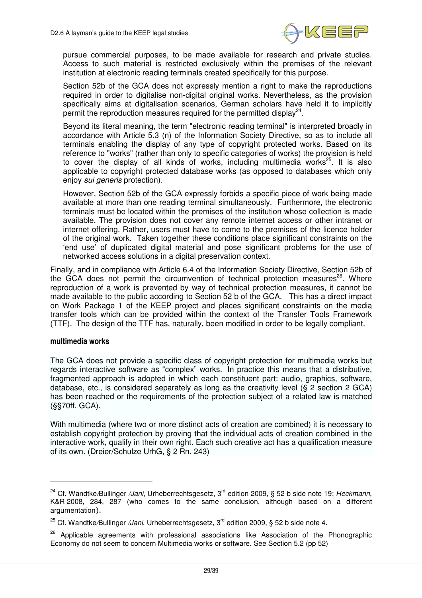

pursue commercial purposes, to be made available for research and private studies. Access to such material is restricted exclusively within the premises of the relevant institution at electronic reading terminals created specifically for this purpose.

Section 52b of the GCA does not expressly mention a right to make the reproductions required in order to digitalise non-digital original works. Nevertheless, as the provision specifically aims at digitalisation scenarios, German scholars have held it to implicitly permit the reproduction measures required for the permitted display<sup>24</sup>.

Beyond its literal meaning, the term "electronic reading terminal" is interpreted broadly in accordance with Article 5.3 (n) of the Information Society Directive, so as to include all terminals enabling the display of any type of copyright protected works. Based on its reference to "works" (rather than only to specific categories of works) the provision is held to cover the display of all kinds of works, including multimedia works $^{25}$ . It is also applicable to copyright protected database works (as opposed to databases which only enjoy sui generis protection).

However, Section 52b of the GCA expressly forbids a specific piece of work being made available at more than one reading terminal simultaneously. Furthermore, the electronic terminals must be located within the premises of the institution whose collection is made available. The provision does not cover any remote internet access or other intranet or internet offering. Rather, users must have to come to the premises of the licence holder of the original work. Taken together these conditions place significant constraints on the 'end use' of duplicated digital material and pose significant problems for the use of networked access solutions in a digital preservation context.

Finally, and in compliance with Article 6.4 of the Information Society Directive, Section 52b of the GCA does not permit the circumvention of technical protection measures<sup>26</sup>. Where reproduction of a work is prevented by way of technical protection measures, it cannot be made available to the public according to Section 52 b of the GCA. This has a direct impact on Work Package 1 of the KEEP project and places significant constraints on the media transfer tools which can be provided within the context of the Transfer Tools Framework (TTF). The design of the TTF has, naturally, been modified in order to be legally compliant.

#### **multimedia works**

 $\overline{a}$ 

The GCA does not provide a specific class of copyright protection for multimedia works but regards interactive software as "complex" works. In practice this means that a distributive, fragmented approach is adopted in which each constituent part: audio, graphics, software, database, etc., is considered separately as long as the creativity level (§ 2 section 2 GCA) has been reached or the requirements of the protection subject of a related law is matched (§§70ff. GCA).

With multimedia (where two or more distinct acts of creation are combined) it is necessary to establish copyright protection by proving that the individual acts of creation combined in the interactive work, qualify in their own right. Each such creative act has a qualification measure of its own. (Dreier/Schulze UrhG, § 2 Rn. 243)

<sup>&</sup>lt;sup>24</sup> Cf. Wandtke/Bullinger /Jani, Urheberrechtsgesetz, 3<sup>rd</sup> edition 2009, § 52 b side note 19; Heckmann, K&R 2008, 284, 287 (who comes to the same conclusion, although based on a different argumentation).

<sup>&</sup>lt;sup>25</sup> Cf. Wandtke/Bullinger /Jani, Urheberrechtsgesetz, 3<sup>rd</sup> edition 2009, § 52 b side note 4.

 $26$  Applicable agreements with professional associations like Association of the Phonographic Economy do not seem to concern Multimedia works or software. See Section 5.2 (pp 52)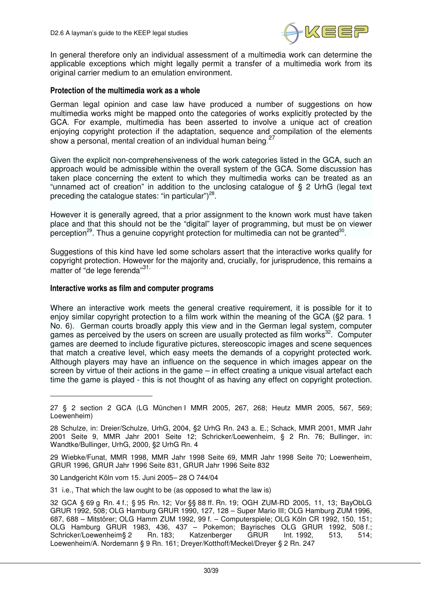

In general therefore only an individual assessment of a multimedia work can determine the applicable exceptions which might legally permit a transfer of a multimedia work from its original carrier medium to an emulation environment.

#### **Protection of the multimedia work as a whole**

German legal opinion and case law have produced a number of suggestions on how multimedia works might be mapped onto the categories of works explicitly protected by the GCA. For example, multimedia has been asserted to involve a unique act of creation enjoying copyright protection if the adaptation, sequence and compilation of the elements show a personal, mental creation of an individual human being. 27

Given the explicit non-comprehensiveness of the work categories listed in the GCA, such an approach would be admissible within the overall system of the GCA. Some discussion has taken place concerning the extent to which they multimedia works can be treated as an "unnamed act of creation" in addition to the unclosing catalogue of § 2 UrhG (legal text preceding the catalogue states: "in particular") $^{28}$ .

However it is generally agreed, that a prior assignment to the known work must have taken place and that this should not be the "digital" layer of programming, but must be on viewer perception<sup>29</sup>. Thus a genuine copyright protection for multimedia can not be granted<sup>30</sup>.

Suggestions of this kind have led some scholars assert that the interactive works qualify for copyright protection. However for the majority and, crucially, for jurisprudence, this remains a matter of "de lege ferenda"<sup>31.</sup>

#### **Interactive works as film and computer programs**

Where an interactive work meets the general creative requirement, it is possible for it to enjoy similar copyright protection to a film work within the meaning of the GCA (§2 para. 1 No. 6). German courts broadly apply this view and in the German legal system, computer games as perceived by the users on screen are usually protected as film works<sup>32</sup>. Computer games are deemed to include figurative pictures, stereoscopic images and scene sequences that match a creative level, which easy meets the demands of a copyright protected work. Although players may have an influence on the sequence in which images appear on the screen by virtue of their actions in the game – in effect creating a unique visual artefact each time the game is played - this is not thought of as having any effect on copyright protection.

30 Landgericht Köln vom 15. Juni 2005– 28 O 744/04

 $\overline{a}$ 

31 i.e., That which the law ought to be (as opposed to what the law is)

<sup>27 § 2</sup> section 2 GCA (LG München I MMR 2005, 267, 268; Heutz MMR 2005, 567, 569; Loewenheim)

<sup>28</sup> Schulze, in: Dreier/Schulze, UrhG, 2004, §2 UrhG Rn. 243 a. E.; Schack, MMR 2001, MMR Jahr 2001 Seite 9, MMR Jahr 2001 Seite 12; Schricker/Loewenheim, § 2 Rn. 76; Bullinger, in: Wandtke/Bullinger, UrhG, 2000, §2 UrhG Rn. 4

<sup>29</sup> Wiebke/Funat, MMR 1998, MMR Jahr 1998 Seite 69, MMR Jahr 1998 Seite 70; Loewenheim, GRUR 1996, GRUR Jahr 1996 Seite 831, GRUR Jahr 1996 Seite 832

<sup>32</sup> GCA § 69 g Rn. 4 f.; § 95 Rn. 12; Vor §§ 88 ff. Rn. 19; OGH ZUM-RD 2005, 11, 13; BayObLG GRUR 1992, 508; OLG Hamburg GRUR 1990, 127, 128 – Super Mario III; OLG Hamburg ZUM 1996, 687, 688 – Mitstörer; OLG Hamm ZUM 1992, 99 f. – Computerspiele; OLG Köln CR 1992, 150, 151; OLG Hamburg GRUR 1983, 436, 437 – Pokemon; Bayrisches OLG GRUR 1992, 508 f.; Schricker/Loewenheim§ 2 Rn. 183; Katzenberger GRUR Int. 1992, 513, 514; Loewenheim/A. Nordemann § 9 Rn. 161; Dreyer/Kotthoff/Meckel/Dreyer § 2 Rn. 247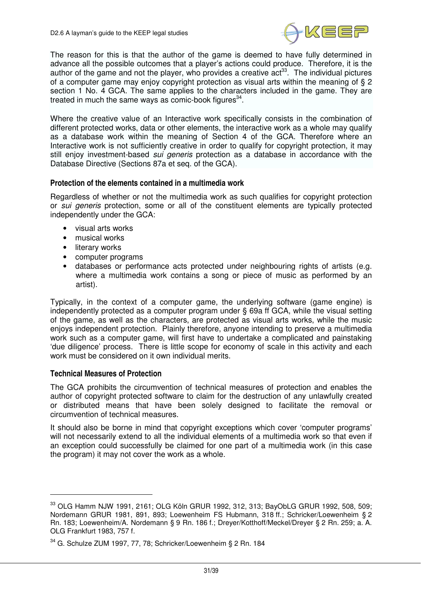

The reason for this is that the author of the game is deemed to have fully determined in advance all the possible outcomes that a player's actions could produce. Therefore, it is the author of the game and not the player, who provides a creative  $act<sup>33</sup>$ . The individual pictures of a computer game may enjoy copyright protection as visual arts within the meaning of § 2 section 1 No. 4 GCA. The same applies to the characters included in the game. They are treated in much the same ways as comic-book figures $^{34}$ .

Where the creative value of an Interactive work specifically consists in the combination of different protected works, data or other elements, the interactive work as a whole may qualify as a database work within the meaning of Section 4 of the GCA. Therefore where an Interactive work is not sufficiently creative in order to qualify for copyright protection, it may still enjoy investment-based *sui generis* protection as a database in accordance with the Database Directive (Sections 87a et seq. of the GCA).

#### **Protection of the elements contained in a multimedia work**

Regardless of whether or not the multimedia work as such qualifies for copyright protection or sui generis protection, some or all of the constituent elements are typically protected independently under the GCA:

- visual arts works
- musical works
- literary works
- computer programs
- databases or performance acts protected under neighbouring rights of artists (e.g. where a multimedia work contains a song or piece of music as performed by an artist).

Typically, in the context of a computer game, the underlying software (game engine) is independently protected as a computer program under § 69a ff GCA, while the visual setting of the game, as well as the characters, are protected as visual arts works, while the music enjoys independent protection. Plainly therefore, anyone intending to preserve a multimedia work such as a computer game, will first have to undertake a complicated and painstaking 'due diligence' process. There is little scope for economy of scale in this activity and each work must be considered on it own individual merits.

#### **Technical Measures of Protection**

 $\overline{a}$ 

The GCA prohibits the circumvention of technical measures of protection and enables the author of copyright protected software to claim for the destruction of any unlawfully created or distributed means that have been solely designed to facilitate the removal or circumvention of technical measures.

It should also be borne in mind that copyright exceptions which cover 'computer programs' will not necessarily extend to all the individual elements of a multimedia work so that even if an exception could successfully be claimed for one part of a multimedia work (in this case the program) it may not cover the work as a whole.

<sup>33</sup> OLG Hamm NJW 1991, 2161; OLG Köln GRUR 1992, 312, 313; BayObLG GRUR 1992, 508, 509; Nordemann GRUR 1981, 891, 893; Loewenheim FS Hubmann, 318 ff.; Schricker/Loewenheim § 2 Rn. 183; Loewenheim/A. Nordemann § 9 Rn. 186 f.; Dreyer/Kotthoff/Meckel/Dreyer § 2 Rn. 259; a. A. OLG Frankfurt 1983, 757 f.

 $34$  G. Schulze ZUM 1997, 77, 78; Schricker/Loewenheim § 2 Rn, 184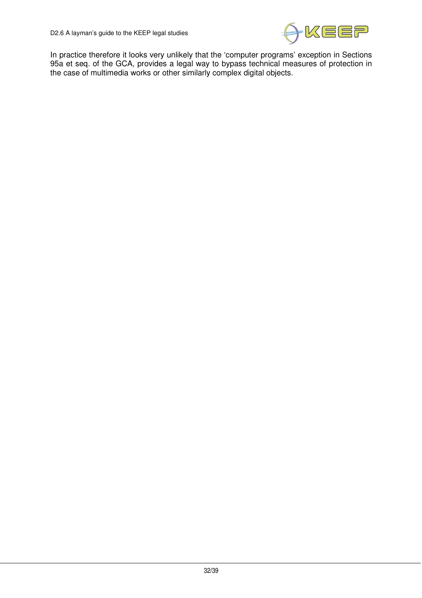

In practice therefore it looks very unlikely that the 'computer programs' exception in Sections 95a et seq. of the GCA, provides a legal way to bypass technical measures of protection in the case of multimedia works or other similarly complex digital objects.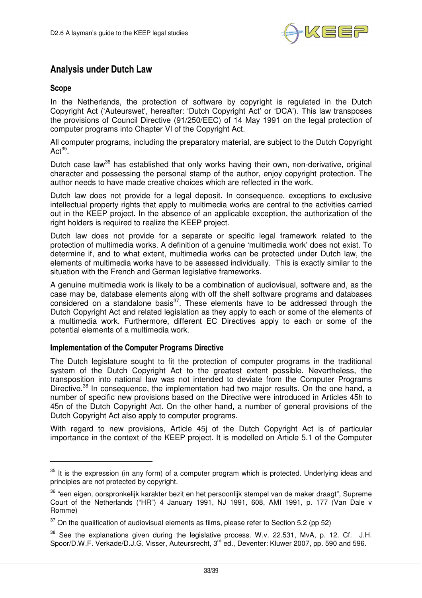

## **Analysis under Dutch Law**

#### **Scope**

 $\overline{a}$ 

In the Netherlands, the protection of software by copyright is regulated in the Dutch Copyright Act ('Auteurswet', hereafter: 'Dutch Copyright Act' or 'DCA'). This law transposes the provisions of Council Directive (91/250/EEC) of 14 May 1991 on the legal protection of computer programs into Chapter VI of the Copyright Act.

All computer programs, including the preparatory material, are subject to the Dutch Copyright  $\mathsf{Act}^{35}$ .

Dutch case law<sup>36</sup> has established that only works having their own, non-derivative, original character and possessing the personal stamp of the author, enjoy copyright protection. The author needs to have made creative choices which are reflected in the work.

Dutch law does not provide for a legal deposit. In consequence, exceptions to exclusive intellectual property rights that apply to multimedia works are central to the activities carried out in the KEEP project. In the absence of an applicable exception, the authorization of the right holders is required to realize the KEEP project.

Dutch law does not provide for a separate or specific legal framework related to the protection of multimedia works. A definition of a genuine 'multimedia work' does not exist. To determine if, and to what extent, multimedia works can be protected under Dutch law, the elements of multimedia works have to be assessed individually. This is exactly similar to the situation with the French and German legislative frameworks.

A genuine multimedia work is likely to be a combination of audiovisual, software and, as the case may be, database elements along with off the shelf software programs and databases considered on a standalone basis<sup>37</sup>. These elements have to be addressed through the Dutch Copyright Act and related legislation as they apply to each or some of the elements of a multimedia work. Furthermore, different EC Directives apply to each or some of the potential elements of a multimedia work.

#### **Implementation of the Computer Programs Directive**

The Dutch legislature sought to fit the protection of computer programs in the traditional system of the Dutch Copyright Act to the greatest extent possible. Nevertheless, the transposition into national law was not intended to deviate from the Computer Programs Directive.<sup>38</sup> In consequence, the implementation had two major results. On the one hand, a number of specific new provisions based on the Directive were introduced in Articles 45h to 45n of the Dutch Copyright Act. On the other hand, a number of general provisions of the Dutch Copyright Act also apply to computer programs.

With regard to new provisions, Article 45j of the Dutch Copyright Act is of particular importance in the context of the KEEP project. It is modelled on Article 5.1 of the Computer

 $35$  It is the expression (in any form) of a computer program which is protected. Underlying ideas and principles are not protected by copyright.

<sup>&</sup>lt;sup>36</sup> "een eigen, oorspronkelijk karakter bezit en het persoonlijk stempel van de maker draagt". Supreme Court of the Netherlands ("HR") 4 January 1991, NJ 1991, 608, AMI 1991, p. 177 (Van Dale v Romme)

 $37$  On the qualification of audiovisual elements as films, please refer to Section 5.2 (pp 52)

 $38$  See the explanations given during the legislative process. W.v. 22.531, MvA, p. 12. Cf. J.H. Spoor/D.W.F. Verkade/D.J.G. Visser, Auteursrecht, 3<sup>rd</sup> ed., Deventer: Kluwer 2007, pp. 590 and 596.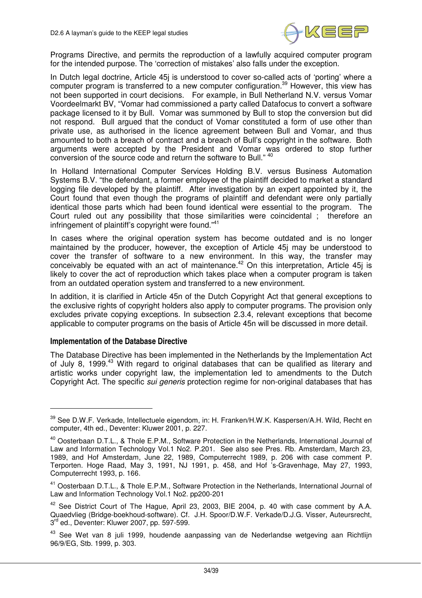

Programs Directive, and permits the reproduction of a lawfully acquired computer program for the intended purpose. The 'correction of mistakes' also falls under the exception.

In Dutch legal doctrine, Article 45 iis understood to cover so-called acts of 'porting' where a computer program is transferred to a new computer configuration.<sup>39</sup> However, this view has not been supported in court decisions. For example, in Bull Netherland N.V. versus Vomar Voordeelmarkt BV, "Vomar had commissioned a party called Datafocus to convert a software package licensed to it by Bull. Vomar was summoned by Bull to stop the conversion but did not respond. Bull argued that the conduct of Vomar constituted a form of use other than private use, as authorised in the licence agreement between Bull and Vomar, and thus amounted to both a breach of contract and a breach of Bull's copyright in the software. Both arguments were accepted by the President and Vomar was ordered to stop further conversion of the source code and return the software to Bull." <sup>40</sup>

In Holland International Computer Services Holding B.V. versus Business Automation Systems B.V. "the defendant, a former employee of the plaintiff decided to market a standard logging file developed by the plaintiff. After investigation by an expert appointed by it, the Court found that even though the programs of plaintiff and defendant were only partially identical those parts which had been found identical were essential to the program. The Court ruled out any possibility that those similarities were coincidental ; therefore an infringement of plaintiff's copyright were found."<sup>41</sup>

In cases where the original operation system has become outdated and is no longer maintained by the producer, however, the exception of Article 45j may be understood to cover the transfer of software to a new environment. In this way, the transfer may conceivably be equated with an act of maintenance.<sup>42</sup> On this interpretation. Article 45i is likely to cover the act of reproduction which takes place when a computer program is taken from an outdated operation system and transferred to a new environment.

In addition, it is clarified in Article 45n of the Dutch Copyright Act that general exceptions to the exclusive rights of copyright holders also apply to computer programs. The provision only excludes private copying exceptions. In subsection 2.3.4, relevant exceptions that become applicable to computer programs on the basis of Article 45n will be discussed in more detail.

#### **Implementation of the Database Directive**

 $\overline{a}$ 

The Database Directive has been implemented in the Netherlands by the Implementation Act of July 8, 1999.<sup>43</sup> With regard to original databases that can be qualified as literary and artistic works under copyright law, the implementation led to amendments to the Dutch Copyright Act. The specific *sui generis* protection regime for non-original databases that has

<sup>&</sup>lt;sup>39</sup> See D.W.F. Verkade, Intellectuele eigendom, in: H. Franken/H.W.K. Kaspersen/A.H. Wild, Recht en computer, 4th ed., Deventer: Kluwer 2001, p. 227.

<sup>40</sup> Oosterbaan D.T.L., & Thole E.P.M., Software Protection in the Netherlands, International Journal of Law and Information Technology Vol.1 No2. P.201. See also see Pres. Rb. Amsterdam, March 23, 1989, and Hof Amsterdam, June 22, 1989, Computerrecht 1989, p. 206 with case comment P. Terporten. Hoge Raad, May 3, 1991, NJ 1991, p. 458, and Hof 's-Gravenhage, May 27, 1993, Computerrecht 1993, p. 166.

<sup>41</sup> Oosterbaan D.T.L., & Thole E.P.M., Software Protection in the Netherlands, International Journal of Law and Information Technology Vol.1 No2. pp200-201

<sup>&</sup>lt;sup>42</sup> See District Court of The Hague, April 23, 2003, BIE 2004, p. 40 with case comment by A.A. Quaedvlieg (Bridge-boekhoud-software). Cf. J.H. Spoor/D.W.F. Verkade/D.J.G. Visser, Auteursrecht, 3 rd ed., Deventer: Kluwer 2007, pp. 597-599.

<sup>&</sup>lt;sup>43</sup> See Wet van 8 juli 1999, houdende aanpassing van de Nederlandse wetgeving aan Richtlijn 96/9/EG, Stb. 1999, p. 303.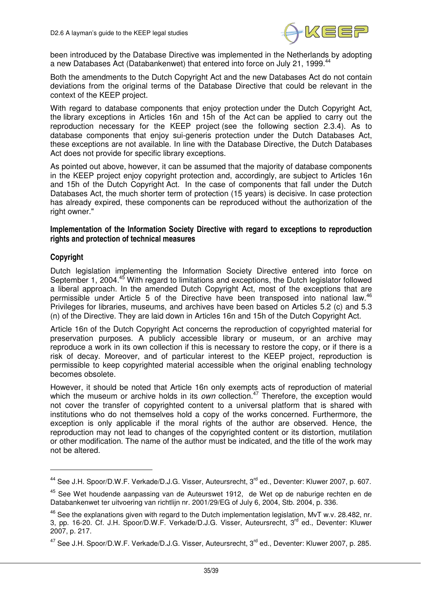

been introduced by the Database Directive was implemented in the Netherlands by adopting a new Databases Act (Databankenwet) that entered into force on July 21, 1999.<sup>44</sup>

Both the amendments to the Dutch Copyright Act and the new Databases Act do not contain deviations from the original terms of the Database Directive that could be relevant in the context of the KEEP project.

With regard to database components that enjoy protection under the Dutch Copyright Act, the library exceptions in Articles 16n and 15h of the Act can be applied to carry out the reproduction necessary for the KEEP project (see the following section 2.3.4). As to database components that enjoy sui-generis protection under the Dutch Databases Act, these exceptions are not available. In line with the Database Directive, the Dutch Databases Act does not provide for specific library exceptions.

As pointed out above, however, it can be assumed that the majority of database components in the KEEP project enjoy copyright protection and, accordingly, are subject to Articles 16n and 15h of the Dutch Copyright Act. In the case of components that fall under the Dutch Databases Act, the much shorter term of protection (15 years) is decisive. In case protection has already expired, these components can be reproduced without the authorization of the right owner."

#### **Implementation of the Information Society Directive with regard to exceptions to reproduction rights and protection of technical measures**

#### **Copyright**

 $\overline{a}$ 

Dutch legislation implementing the Information Society Directive entered into force on September 1, 2004.<sup>45</sup> With regard to limitations and exceptions, the Dutch legislator followed a liberal approach. In the amended Dutch Copyright Act, most of the exceptions that are permissible under Article 5 of the Directive have been transposed into national law.<sup>46</sup> Privileges for libraries, museums, and archives have been based on Articles 5.2 (c) and 5.3 (n) of the Directive. They are laid down in Articles 16n and 15h of the Dutch Copyright Act.

Article 16n of the Dutch Copyright Act concerns the reproduction of copyrighted material for preservation purposes. A publicly accessible library or museum, or an archive may reproduce a work in its own collection if this is necessary to restore the copy, or if there is a risk of decay. Moreover, and of particular interest to the KEEP project, reproduction is permissible to keep copyrighted material accessible when the original enabling technology becomes obsolete.

However, it should be noted that Article 16n only exempts acts of reproduction of material which the museum or archive holds in its *own* collection.<sup>47</sup> Therefore, the exception would not cover the transfer of copyrighted content to a universal platform that is shared with institutions who do not themselves hold a copy of the works concerned. Furthermore, the exception is only applicable if the moral rights of the author are observed. Hence, the reproduction may not lead to changes of the copyrighted content or its distortion, mutilation or other modification. The name of the author must be indicated, and the title of the work may not be altered.

<sup>44</sup> See J.H. Spoor/D.W.F. Verkade/D.J.G. Visser, Auteursrecht, 3rd ed., Deventer: Kluwer 2007, p. 607.

<sup>45</sup> See Wet houdende aanpassing van de Auteurswet 1912, de Wet op de naburige rechten en de Databankenwet ter uitvoering van richtlijn nr. 2001/29/EG of July 6, 2004, Stb. 2004, p. 336.

 $46$  See the explanations given with regard to the Dutch implementation legislation, MvT w.v. 28.482, nr. 3, pp. 16-20. Cf. J.H. Spoor/D.W.F. Verkade/D.J.G. Visser, Auteursrecht, 3rd ed., Deventer: Kluwer 2007, p. 217.

<sup>&</sup>lt;sup>47</sup> See J.H. Spoor/D.W.F. Verkade/D.J.G. Visser, Auteursrecht, 3<sup>rd</sup> ed., Deventer: Kluwer 2007, p. 285.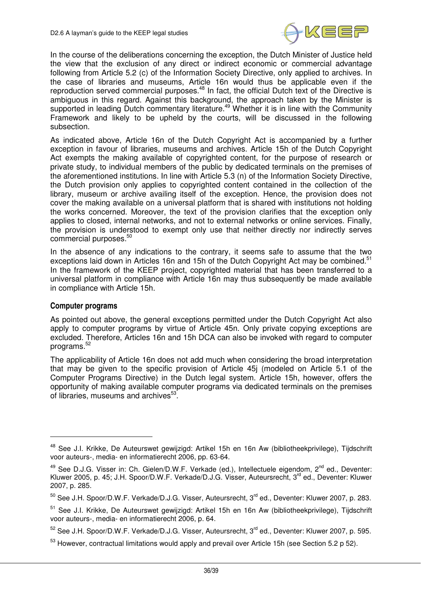

In the course of the deliberations concerning the exception, the Dutch Minister of Justice held the view that the exclusion of any direct or indirect economic or commercial advantage following from Article 5.2 (c) of the Information Society Directive, only applied to archives. In the case of libraries and museums, Article 16n would thus be applicable even if the reproduction served commercial purposes.<sup>48</sup> In fact, the official Dutch text of the Directive is ambiguous in this regard. Against this background, the approach taken by the Minister is supported in leading Dutch commentary literature.<sup>49</sup> Whether it is in line with the Community Framework and likely to be upheld by the courts, will be discussed in the following subsection.

As indicated above, Article 16n of the Dutch Copyright Act is accompanied by a further exception in favour of libraries, museums and archives. Article 15h of the Dutch Copyright Act exempts the making available of copyrighted content, for the purpose of research or private study, to individual members of the public by dedicated terminals on the premises of the aforementioned institutions. In line with Article 5.3 (n) of the Information Society Directive, the Dutch provision only applies to copyrighted content contained in the collection of the library, museum or archive availing itself of the exception. Hence, the provision does not cover the making available on a universal platform that is shared with institutions not holding the works concerned. Moreover, the text of the provision clarifies that the exception only applies to closed, internal networks, and not to external networks or online services. Finally, the provision is understood to exempt only use that neither directly nor indirectly serves commercial purposes.<sup>50</sup>

In the absence of any indications to the contrary, it seems safe to assume that the two exceptions laid down in Articles 16n and 15h of the Dutch Copyright Act may be combined.<sup>51</sup> In the framework of the KEEP project, copyrighted material that has been transferred to a universal platform in compliance with Article 16n may thus subsequently be made available in compliance with Article 15h.

#### **Computer programs**

 $\overline{a}$ 

As pointed out above, the general exceptions permitted under the Dutch Copyright Act also apply to computer programs by virtue of Article 45n. Only private copying exceptions are excluded. Therefore, Articles 16n and 15h DCA can also be invoked with regard to computer programs.<sup>52</sup>

The applicability of Article 16n does not add much when considering the broad interpretation that may be given to the specific provision of Article 45j (modeled on Article 5.1 of the Computer Programs Directive) in the Dutch legal system. Article 15h, however, offers the opportunity of making available computer programs via dedicated terminals on the premises of libraries, museums and archives<sup>53</sup>.

<sup>48</sup> See J.I. Krikke, De Auteurswet gewijzigd: Artikel 15h en 16n Aw (bibliotheekprivilege), Tijdschrift voor auteurs-, media- en informatierecht 2006, pp. 63-64.

<sup>&</sup>lt;sup>49</sup> See D.J.G. Visser in: Ch. Gielen/D.W.F. Verkade (ed.), Intellectuele eigendom, 2<sup>nd</sup> ed., Deventer: Kluwer 2005, p. 45; J.H. Spoor/D.W.F. Verkade/D.J.G. Visser, Auteursrecht, 3<sup>rd</sup> ed., Deventer: Kluwer 2007, p. 285.

<sup>&</sup>lt;sup>50</sup> See J.H. Spoor/D.W.F. Verkade/D.J.G. Visser, Auteursrecht, 3<sup>rd</sup> ed., Deventer: Kluwer 2007, p. 283.

<sup>51</sup> See J.I. Krikke, De Auteurswet gewijzigd: Artikel 15h en 16n Aw (bibliotheekprivilege), Tijdschrift voor auteurs-, media- en informatierecht 2006, p. 64.

<sup>&</sup>lt;sup>52</sup> See J.H. Spoor/D.W.F. Verkade/D.J.G. Visser, Auteursrecht, 3<sup>rd</sup> ed., Deventer: Kluwer 2007, p. 595.

 $53$  However, contractual limitations would apply and prevail over Article 15h (see Section 5.2 p 52).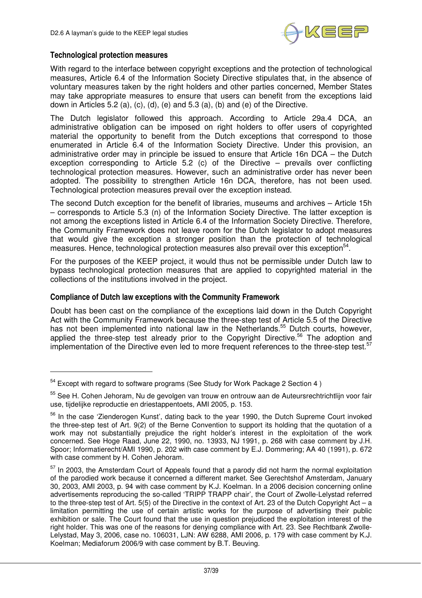

#### **Technological protection measures**

 $\overline{a}$ 

With regard to the interface between copyright exceptions and the protection of technological measures, Article 6.4 of the Information Society Directive stipulates that, in the absence of voluntary measures taken by the right holders and other parties concerned, Member States may take appropriate measures to ensure that users can benefit from the exceptions laid down in Articles 5.2 (a), (c), (d), (e) and 5.3 (a), (b) and (e) of the Directive.

The Dutch legislator followed this approach. According to Article 29a.4 DCA, an administrative obligation can be imposed on right holders to offer users of copyrighted material the opportunity to benefit from the Dutch exceptions that correspond to those enumerated in Article 6.4 of the Information Society Directive. Under this provision, an administrative order may in principle be issued to ensure that Article 16n DCA – the Dutch exception corresponding to Article 5.2 (c) of the Directive – prevails over conflicting technological protection measures. However, such an administrative order has never been adopted. The possibility to strengthen Article 16n DCA, therefore, has not been used. Technological protection measures prevail over the exception instead.

The second Dutch exception for the benefit of libraries, museums and archives – Article 15h – corresponds to Article 5.3 (n) of the Information Society Directive. The latter exception is not among the exceptions listed in Article 6.4 of the Information Society Directive. Therefore, the Community Framework does not leave room for the Dutch legislator to adopt measures that would give the exception a stronger position than the protection of technological measures. Hence, technological protection measures also prevail over this exception<sup>54</sup>.

For the purposes of the KEEP project, it would thus not be permissible under Dutch law to bypass technological protection measures that are applied to copyrighted material in the collections of the institutions involved in the project.

#### **Compliance of Dutch law exceptions with the Community Framework**

Doubt has been cast on the compliance of the exceptions laid down in the Dutch Copyright Act with the Community Framework because the three-step test of Article 5.5 of the Directive has not been implemented into national law in the Netherlands.<sup>55</sup> Dutch courts, however, applied the three-step test already prior to the Copyright Directive.<sup>56</sup> The adoption and implementation of the Directive even led to more frequent references to the three-step test.<sup>57</sup>

 $54$  Except with regard to software programs (See Study for Work Package 2 Section 4)

<sup>&</sup>lt;sup>55</sup> See H. Cohen Jehoram, Nu de gevolgen van trouw en ontrouw aan de Auteursrechtrichtlijn voor fair use, tijdelijke reproductie en driestappentoets, AMI 2005, p. 153.

<sup>&</sup>lt;sup>56</sup> In the case 'Zienderogen Kunst', dating back to the year 1990, the Dutch Supreme Court invoked the three-step test of Art. 9(2) of the Berne Convention to support its holding that the quotation of a work may not substantially prejudice the right holder's interest in the exploitation of the work concerned. See Hoge Raad, June 22, 1990, no. 13933, NJ 1991, p. 268 with case comment by J.H. Spoor; Informatierecht/AMI 1990, p. 202 with case comment by E.J. Dommering; AA 40 (1991), p. 672 with case comment by H. Cohen Jehoram.

 $57$  In 2003, the Amsterdam Court of Appeals found that a parody did not harm the normal exploitation of the parodied work because it concerned a different market. See Gerechtshof Amsterdam, January 30, 2003, AMI 2003, p. 94 with case comment by K.J. Koelman. In a 2006 decision concerning online advertisements reproducing the so-called 'TRIPP TRAPP chair', the Court of Zwolle-Lelystad referred to the three-step test of Art. 5(5) of the Directive in the context of Art. 23 of the Dutch Copyright Act – a limitation permitting the use of certain artistic works for the purpose of advertising their public exhibition or sale. The Court found that the use in question prejudiced the exploitation interest of the right holder. This was one of the reasons for denying compliance with Art. 23. See Rechtbank Zwolle-Lelystad, May 3, 2006, case no. 106031, LJN: AW 6288, AMI 2006, p. 179 with case comment by K.J. Koelman; Mediaforum 2006/9 with case comment by B.T. Beuving.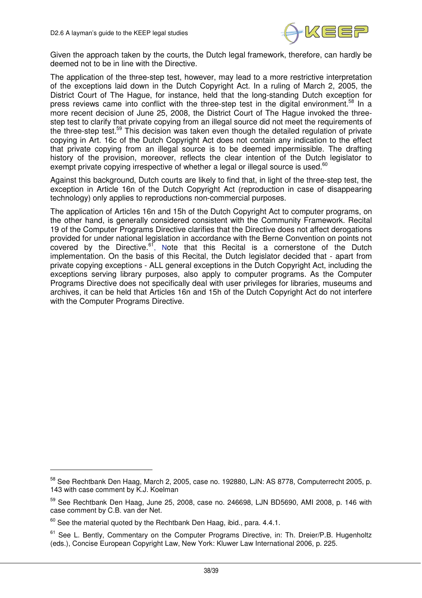

Given the approach taken by the courts, the Dutch legal framework, therefore, can hardly be deemed not to be in line with the Directive.

The application of the three-step test, however, may lead to a more restrictive interpretation of the exceptions laid down in the Dutch Copyright Act. In a ruling of March 2, 2005, the District Court of The Hague, for instance, held that the long-standing Dutch exception for press reviews came into conflict with the three-step test in the digital environment.<sup>58</sup> In a more recent decision of June 25, 2008, the District Court of The Hague invoked the threestep test to clarify that private copying from an illegal source did not meet the requirements of the three-step test.<sup>59</sup> This decision was taken even though the detailed regulation of private copying in Art. 16c of the Dutch Copyright Act does not contain any indication to the effect that private copying from an illegal source is to be deemed impermissible. The drafting history of the provision, moreover, reflects the clear intention of the Dutch legislator to exempt private copying irrespective of whether a legal or illegal source is used.<sup>60</sup>

Against this background, Dutch courts are likely to find that, in light of the three-step test, the exception in Article 16n of the Dutch Copyright Act (reproduction in case of disappearing technology) only applies to reproductions non-commercial purposes.

The application of Articles 16n and 15h of the Dutch Copyright Act to computer programs, on the other hand, is generally considered consistent with the Community Framework. Recital 19 of the Computer Programs Directive clarifies that the Directive does not affect derogations provided for under national legislation in accordance with the Berne Convention on points not covered by the Directive.<sup>61</sup>, Note that this Recital is a cornerstone of the Dutch implementation. On the basis of this Recital, the Dutch legislator decided that - apart from private copying exceptions - ALL general exceptions in the Dutch Copyright Act, including the exceptions serving library purposes, also apply to computer programs. As the Computer Programs Directive does not specifically deal with user privileges for libraries, museums and archives, it can be held that Articles 16n and 15h of the Dutch Copyright Act do not interfere with the Computer Programs Directive.

 $\overline{a}$ 

<sup>&</sup>lt;sup>58</sup> See Rechtbank Den Haag, March 2, 2005, case no. 192880, LJN: AS 8778, Computerrecht 2005, p. 143 with case comment by K.J. Koelman

 $59$  See Rechtbank Den Haag, June 25, 2008, case no. 246698, LJN BD5690, AMI 2008, p. 146 with case comment by C.B. van der Net.

 $60$  See the material quoted by the Rechtbank Den Haag, ibid., para. 4.4.1.

 $61$  See L. Bently, Commentary on the Computer Programs Directive, in: Th. Dreier/P.B. Hugenholtz (eds.), Concise European Copyright Law, New York: Kluwer Law International 2006, p. 225.